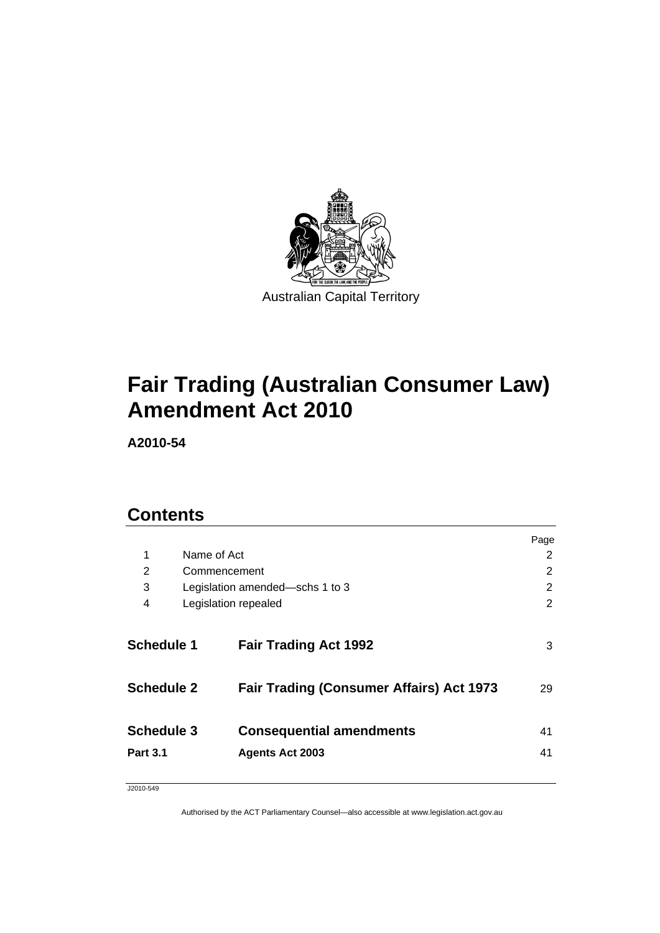

# **[Fair Trading \(Australian Consumer Law\)](#page-4-0)  [Amendment Act 2010](#page-4-0)**

**A2010-54** 

# **Contents**

|                   |                                                 | Page           |
|-------------------|-------------------------------------------------|----------------|
| 1                 | Name of Act                                     | 2              |
| 2                 | Commencement                                    | $\overline{2}$ |
| 3                 | Legislation amended-schs 1 to 3                 | 2              |
| 4                 | Legislation repealed                            | 2              |
| <b>Schedule 1</b> | <b>Fair Trading Act 1992</b>                    | 3              |
| <b>Schedule 2</b> | <b>Fair Trading (Consumer Affairs) Act 1973</b> | 29             |
| <b>Schedule 3</b> | <b>Consequential amendments</b>                 | 41             |
| <b>Part 3.1</b>   | <b>Agents Act 2003</b>                          | 41             |
|                   |                                                 |                |

J2010-549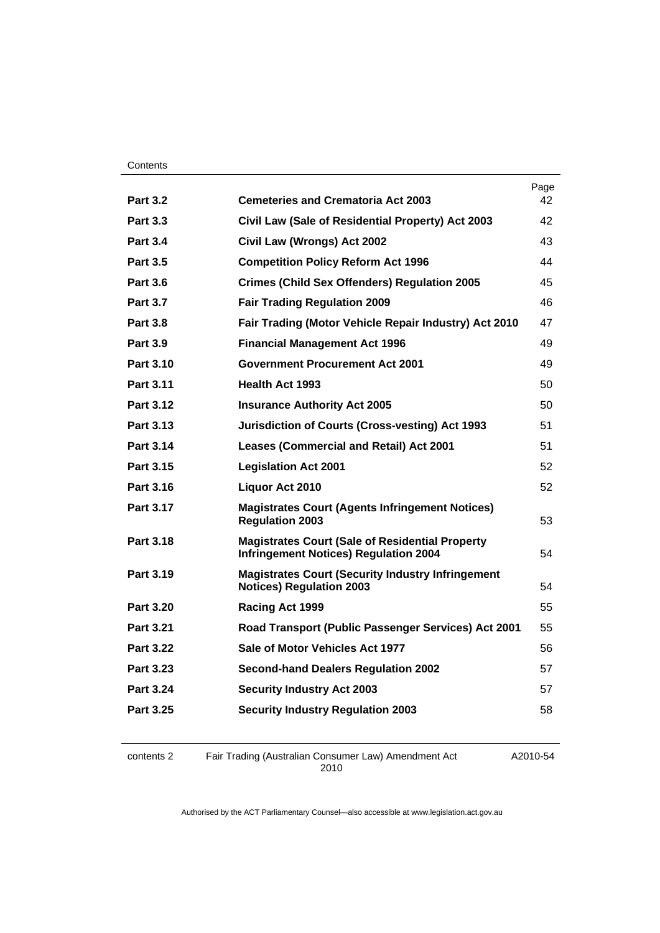#### **Contents**

|                  |                                                                                                        | Page |
|------------------|--------------------------------------------------------------------------------------------------------|------|
| <b>Part 3.2</b>  | <b>Cemeteries and Crematoria Act 2003</b>                                                              | 42   |
| <b>Part 3.3</b>  | Civil Law (Sale of Residential Property) Act 2003                                                      | 42   |
| <b>Part 3.4</b>  | Civil Law (Wrongs) Act 2002                                                                            | 43   |
| <b>Part 3.5</b>  | <b>Competition Policy Reform Act 1996</b>                                                              | 44   |
| <b>Part 3.6</b>  | <b>Crimes (Child Sex Offenders) Regulation 2005</b>                                                    | 45   |
| <b>Part 3.7</b>  | <b>Fair Trading Regulation 2009</b>                                                                    | 46   |
| <b>Part 3.8</b>  | Fair Trading (Motor Vehicle Repair Industry) Act 2010                                                  | 47   |
| <b>Part 3.9</b>  | <b>Financial Management Act 1996</b>                                                                   | 49   |
| <b>Part 3.10</b> | <b>Government Procurement Act 2001</b>                                                                 | 49   |
| <b>Part 3.11</b> | Health Act 1993                                                                                        | 50   |
| <b>Part 3.12</b> | <b>Insurance Authority Act 2005</b>                                                                    | 50   |
| Part 3.13        | Jurisdiction of Courts (Cross-vesting) Act 1993                                                        | 51   |
| Part 3.14        | <b>Leases (Commercial and Retail) Act 2001</b>                                                         | 51   |
| <b>Part 3.15</b> | <b>Legislation Act 2001</b>                                                                            | 52   |
| Part 3.16        | Liquor Act 2010                                                                                        | 52   |
| <b>Part 3.17</b> | <b>Magistrates Court (Agents Infringement Notices)</b><br><b>Regulation 2003</b>                       | 53   |
| <b>Part 3.18</b> | <b>Magistrates Court (Sale of Residential Property</b><br><b>Infringement Notices) Regulation 2004</b> | 54   |
| Part 3.19        | <b>Magistrates Court (Security Industry Infringement</b><br><b>Notices) Regulation 2003</b>            | 54   |
| <b>Part 3.20</b> | Racing Act 1999                                                                                        | 55   |
| <b>Part 3.21</b> | Road Transport (Public Passenger Services) Act 2001                                                    | 55   |
| <b>Part 3.22</b> | Sale of Motor Vehicles Act 1977                                                                        | 56   |
| <b>Part 3.23</b> | <b>Second-hand Dealers Regulation 2002</b>                                                             | 57   |
| <b>Part 3.24</b> | <b>Security Industry Act 2003</b>                                                                      | 57   |
| Part 3.25        | <b>Security Industry Regulation 2003</b>                                                               | 58   |
|                  |                                                                                                        |      |

contents 2 Fair Trading (Australian Consumer Law) Amendment Act 2010

A2010-54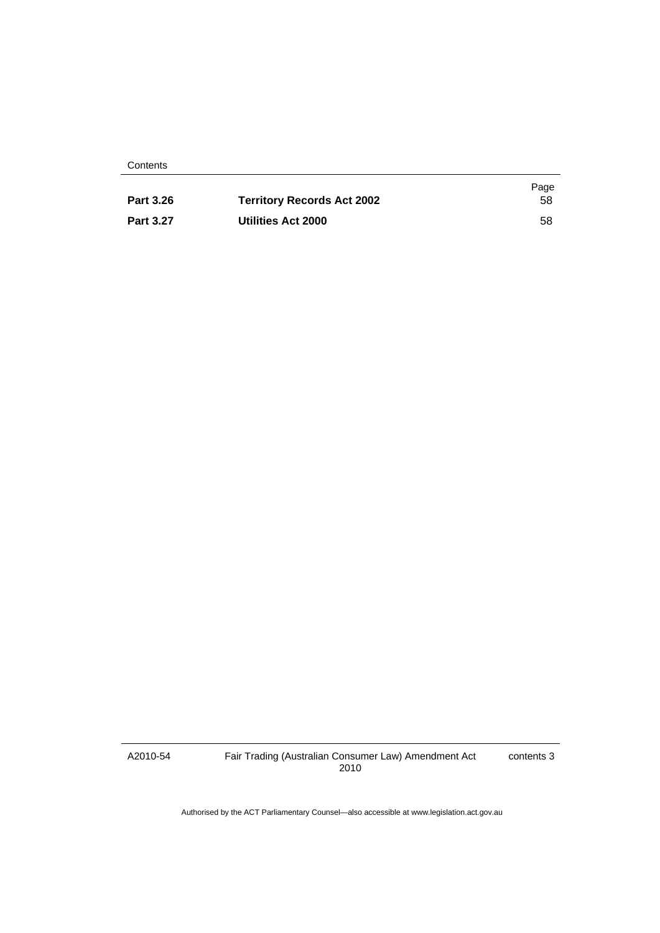**Contents** 

|                  |                                   | Page |
|------------------|-----------------------------------|------|
| <b>Part 3.26</b> | <b>Territory Records Act 2002</b> | 58   |
| <b>Part 3.27</b> | Utilities Act 2000                | 58   |

A2010-54

Fair Trading (Australian Consumer Law) Amendment Act 2010

contents 3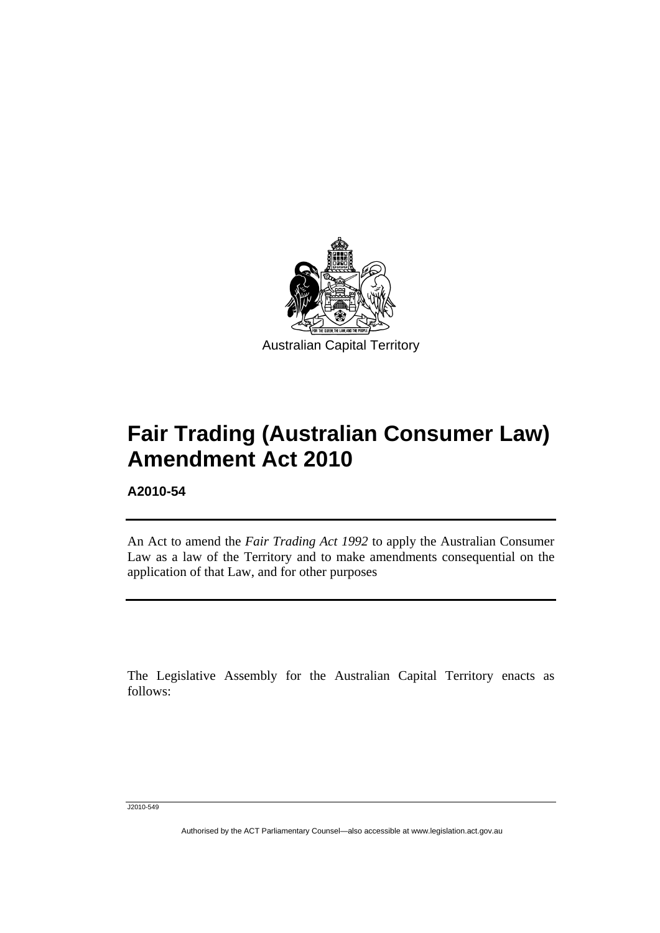<span id="page-4-0"></span>

# **Fair Trading (Australian Consumer Law) Amendment Act 2010**

**A2010-54** 

Ī

An Act to amend the *Fair Trading Act 1992* to apply the Australian Consumer Law as a law of the Territory and to make amendments consequential on the application of that Law, and for other purposes

The Legislative Assembly for the Australian Capital Territory enacts as follows:

J2010-549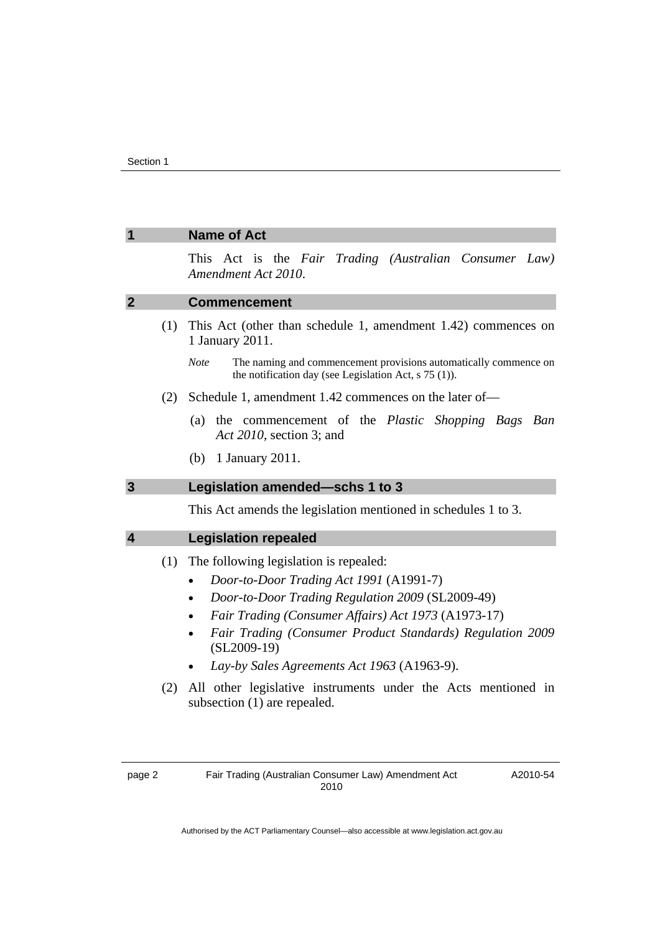<span id="page-5-0"></span>

| 1              | <b>Name of Act</b>                                                                                                                                                                                                                                                                                                                                                                                                         |
|----------------|----------------------------------------------------------------------------------------------------------------------------------------------------------------------------------------------------------------------------------------------------------------------------------------------------------------------------------------------------------------------------------------------------------------------------|
|                | This Act is the Fair Trading (Australian Consumer Law)<br>Amendment Act 2010.                                                                                                                                                                                                                                                                                                                                              |
| $\overline{2}$ | <b>Commencement</b>                                                                                                                                                                                                                                                                                                                                                                                                        |
| (1)            | This Act (other than schedule 1, amendment 1.42) commences on<br>1 January 2011.                                                                                                                                                                                                                                                                                                                                           |
|                | The naming and commencement provisions automatically commence on<br><b>Note</b><br>the notification day (see Legislation Act, $s$ 75 (1)).                                                                                                                                                                                                                                                                                 |
| (2)            | Schedule 1, amendment 1.42 commences on the later of-                                                                                                                                                                                                                                                                                                                                                                      |
|                | the commencement of the Plastic Shopping Bags Ban<br>(a)<br>Act 2010, section 3; and                                                                                                                                                                                                                                                                                                                                       |
|                | 1 January 2011.<br>(b)                                                                                                                                                                                                                                                                                                                                                                                                     |
| $\mathbf{3}$   | Legislation amended-schs 1 to 3                                                                                                                                                                                                                                                                                                                                                                                            |
|                | This Act amends the legislation mentioned in schedules 1 to 3.                                                                                                                                                                                                                                                                                                                                                             |
| 4              | <b>Legislation repealed</b>                                                                                                                                                                                                                                                                                                                                                                                                |
| (1)<br>(2)     | The following legislation is repealed:<br>Door-to-Door Trading Act 1991 (A1991-7)<br>Door-to-Door Trading Regulation 2009 (SL2009-49)<br>Fair Trading (Consumer Affairs) Act 1973 (A1973-17)<br>Fair Trading (Consumer Product Standards) Regulation 2009<br>$(SL2009-19)$<br>Lay-by Sales Agreements Act 1963 (A1963-9).<br>All other legislative instruments under the Acts mentioned in<br>subsection (1) are repealed. |
| page 2         | Fair Trading (Australian Consumer Law) Amendment Act<br>A2010-54<br>2010                                                                                                                                                                                                                                                                                                                                                   |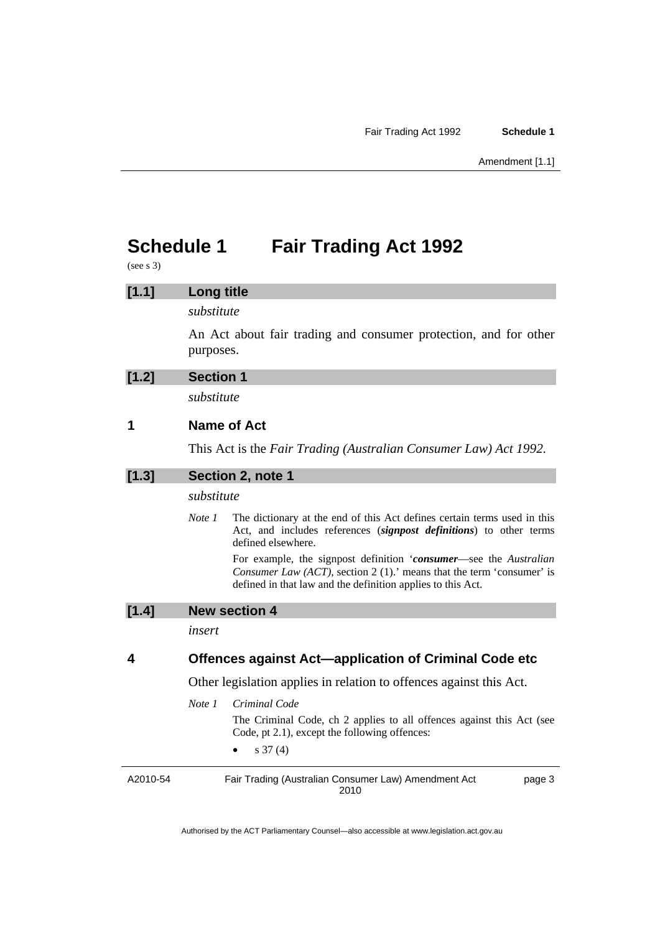<span id="page-6-0"></span>(see s 3)

| [1.1] | <b>Long title</b> |                                                                                                                                                                                                                   |
|-------|-------------------|-------------------------------------------------------------------------------------------------------------------------------------------------------------------------------------------------------------------|
|       | substitute        |                                                                                                                                                                                                                   |
|       | purposes.         | An Act about fair trading and consumer protection, and for other                                                                                                                                                  |
| [1.2] | <b>Section 1</b>  |                                                                                                                                                                                                                   |
|       | substitute        |                                                                                                                                                                                                                   |
| 1     |                   | Name of Act                                                                                                                                                                                                       |
|       |                   | This Act is the Fair Trading (Australian Consumer Law) Act 1992.                                                                                                                                                  |
| [1.3] |                   | Section 2, note 1                                                                                                                                                                                                 |
|       | substitute        |                                                                                                                                                                                                                   |
|       | Note 1            | The dictionary at the end of this Act defines certain terms used in this<br>Act, and includes references (signpost definitions) to other terms<br>defined elsewhere.                                              |
|       |                   | For example, the signpost definition 'consumer-see the Australian<br><i>Consumer Law (ACT)</i> , section 2 (1).' means that the term 'consumer' is<br>defined in that law and the definition applies to this Act. |
| [1.4] |                   | <b>New section 4</b>                                                                                                                                                                                              |
|       | insert            |                                                                                                                                                                                                                   |
| 4     |                   | <b>Offences against Act—application of Criminal Code etc</b>                                                                                                                                                      |
|       |                   | Other legislation applies in relation to offences against this Act.                                                                                                                                               |
|       | Note 1            | Criminal Code                                                                                                                                                                                                     |
|       |                   | The Criminal Code, ch 2 applies to all offences against this Act (see<br>Code, pt 2.1), except the following offences:                                                                                            |

•  $s 37 (4)$ 

A2010-54 Fair Trading (Australian Consumer Law) Amendment Act 2010 page 3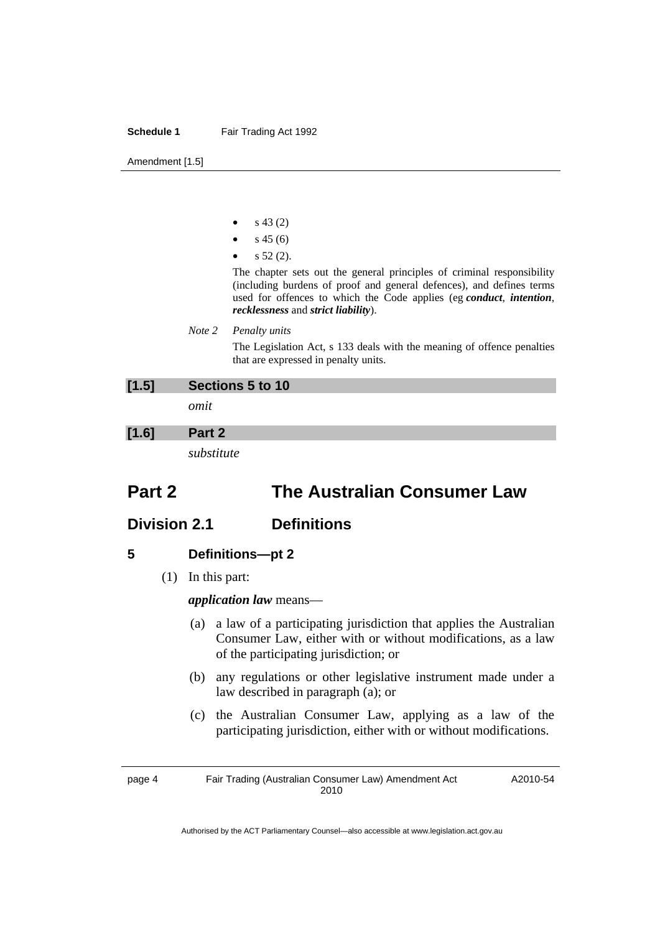- s 43 (2)
- $s$  45 (6)
- s 52 (2).

The chapter sets out the general principles of criminal responsibility (including burdens of proof and general defences), and defines terms used for offences to which the Code applies (eg *conduct*, *intention*, *recklessness* and *strict liability*).

#### *Note 2 Penalty units*

The Legislation Act, s 133 deals with the meaning of offence penalties that are expressed in penalty units.

| [1.5] | Sections 5 to 10 |
|-------|------------------|
|       | omit             |
| [1.6] | Part 2           |
|       | substitute       |

# **Part 2 The Australian Consumer Law**

# **Division 2.1 Definitions**

# **5 Definitions—pt 2**

(1) In this part:

*application law* means—

- (a) a law of a participating jurisdiction that applies the Australian Consumer Law, either with or without modifications, as a law of the participating jurisdiction; or
- (b) any regulations or other legislative instrument made under a law described in paragraph (a); or
- (c) the Australian Consumer Law, applying as a law of the participating jurisdiction, either with or without modifications.

page 4 Fair Trading (Australian Consumer Law) Amendment Act 2010

A2010-54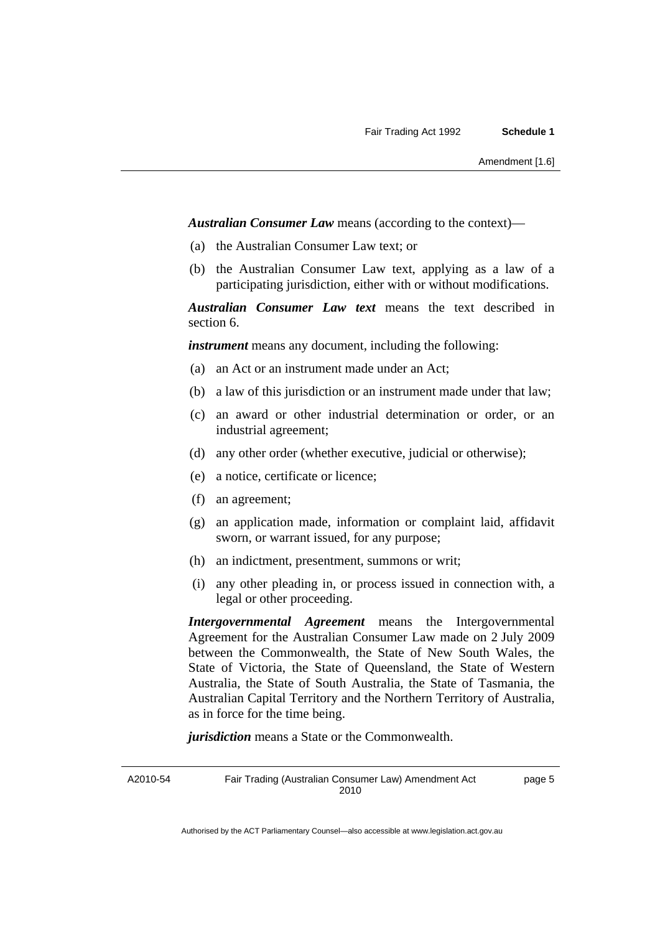*Australian Consumer Law* means (according to the context)—

- (a) the Australian Consumer Law text; or
- (b) the Australian Consumer Law text, applying as a law of a participating jurisdiction, either with or without modifications.

*Australian Consumer Law text* means the text described in section 6.

*instrument* means any document, including the following:

- (a) an Act or an instrument made under an Act;
- (b) a law of this jurisdiction or an instrument made under that law;
- (c) an award or other industrial determination or order, or an industrial agreement;
- (d) any other order (whether executive, judicial or otherwise);
- (e) a notice, certificate or licence;
- (f) an agreement;
- (g) an application made, information or complaint laid, affidavit sworn, or warrant issued, for any purpose;
- (h) an indictment, presentment, summons or writ;
- (i) any other pleading in, or process issued in connection with, a legal or other proceeding.

*Intergovernmental Agreement* means the Intergovernmental Agreement for the Australian Consumer Law made on 2 July 2009 between the Commonwealth, the State of New South Wales, the State of Victoria, the State of Queensland, the State of Western Australia, the State of South Australia, the State of Tasmania, the Australian Capital Territory and the Northern Territory of Australia, as in force for the time being.

*jurisdiction* means a State or the Commonwealth.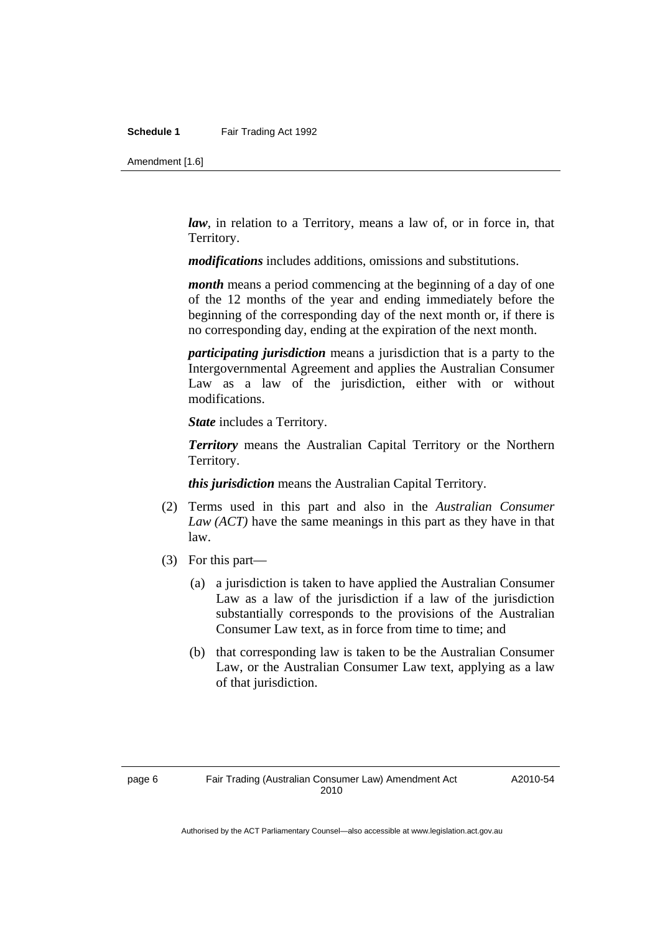Amendment [1.6]

*law*, in relation to a Territory, means a law of, or in force in, that Territory.

*modifications* includes additions, omissions and substitutions.

*month* means a period commencing at the beginning of a day of one of the 12 months of the year and ending immediately before the beginning of the corresponding day of the next month or, if there is no corresponding day, ending at the expiration of the next month.

*participating jurisdiction* means a jurisdiction that is a party to the Intergovernmental Agreement and applies the Australian Consumer Law as a law of the jurisdiction, either with or without modifications.

*State* includes a Territory.

*Territory* means the Australian Capital Territory or the Northern Territory.

*this jurisdiction* means the Australian Capital Territory.

- (2) Terms used in this part and also in the *Australian Consumer Law (ACT)* have the same meanings in this part as they have in that law.
- (3) For this part—
	- (a) a jurisdiction is taken to have applied the Australian Consumer Law as a law of the jurisdiction if a law of the jurisdiction substantially corresponds to the provisions of the Australian Consumer Law text, as in force from time to time; and
	- (b) that corresponding law is taken to be the Australian Consumer Law, or the Australian Consumer Law text, applying as a law of that jurisdiction.

A2010-54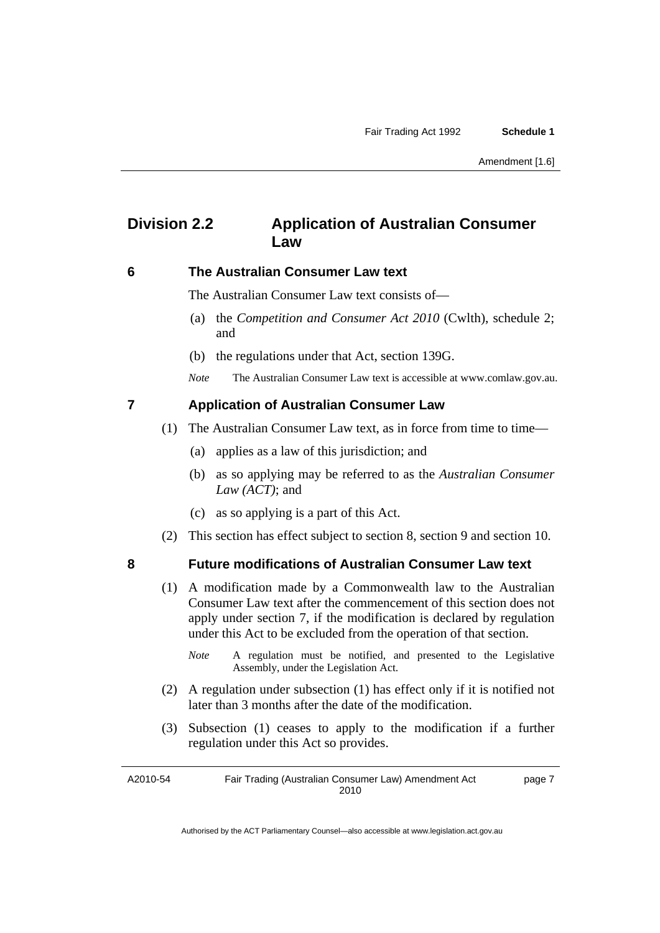# **Division 2.2 Application of Australian Consumer Law**

## **6 The Australian Consumer Law text**

The Australian Consumer Law text consists of—

- (a) the *Competition and Consumer Act 2010* (Cwlth), schedule 2; and
- (b) the regulations under that Act, section 139G.

*Note* The Australian Consumer Law text is accessible at www.comlaw.gov.au.

## **7 Application of Australian Consumer Law**

- (1) The Australian Consumer Law text, as in force from time to time—
	- (a) applies as a law of this jurisdiction; and
	- (b) as so applying may be referred to as the *Australian Consumer Law (ACT)*; and
	- (c) as so applying is a part of this Act.
- (2) This section has effect subject to section 8, section 9 and section 10.

## **8 Future modifications of Australian Consumer Law text**

- (1) A modification made by a Commonwealth law to the Australian Consumer Law text after the commencement of this section does not apply under section 7, if the modification is declared by regulation under this Act to be excluded from the operation of that section.
	- *Note* A regulation must be notified, and presented to the Legislative Assembly, under the Legislation Act.
- (2) A regulation under subsection (1) has effect only if it is notified not later than 3 months after the date of the modification.
- (3) Subsection (1) ceases to apply to the modification if a further regulation under this Act so provides.

A2010-54 Fair Trading (Australian Consumer Law) Amendment Act 2010 page 7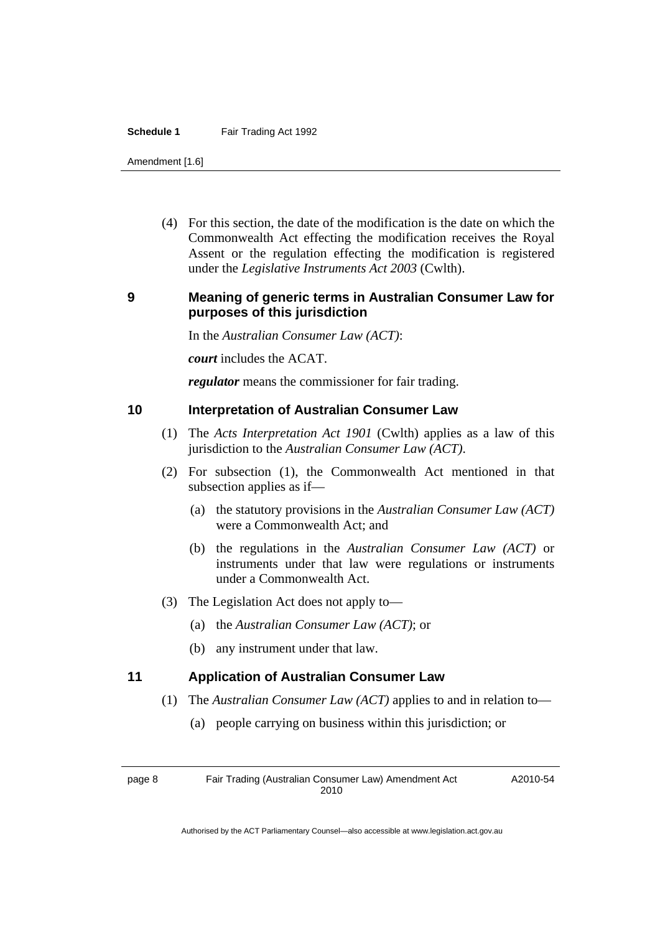Amendment [1.6]

 (4) For this section, the date of the modification is the date on which the Commonwealth Act effecting the modification receives the Royal Assent or the regulation effecting the modification is registered under the *Legislative Instruments Act 2003* (Cwlth).

# **9 Meaning of generic terms in Australian Consumer Law for purposes of this jurisdiction**

In the *Australian Consumer Law (ACT)*:

*court* includes the ACAT.

*regulator* means the commissioner for fair trading.

## **10 Interpretation of Australian Consumer Law**

- (1) The *Acts Interpretation Act 1901* (Cwlth) applies as a law of this jurisdiction to the *Australian Consumer Law (ACT)*.
- (2) For subsection (1), the Commonwealth Act mentioned in that subsection applies as if—
	- (a) the statutory provisions in the *Australian Consumer Law (ACT)* were a Commonwealth Act; and
	- (b) the regulations in the *Australian Consumer Law (ACT)* or instruments under that law were regulations or instruments under a Commonwealth Act.
- (3) The Legislation Act does not apply to—
	- (a) the *Australian Consumer Law (ACT)*; or
	- (b) any instrument under that law.

# **11 Application of Australian Consumer Law**

- (1) The *Australian Consumer Law (ACT)* applies to and in relation to—
	- (a) people carrying on business within this jurisdiction; or

page 8 Fair Trading (Australian Consumer Law) Amendment Act 2010

A2010-54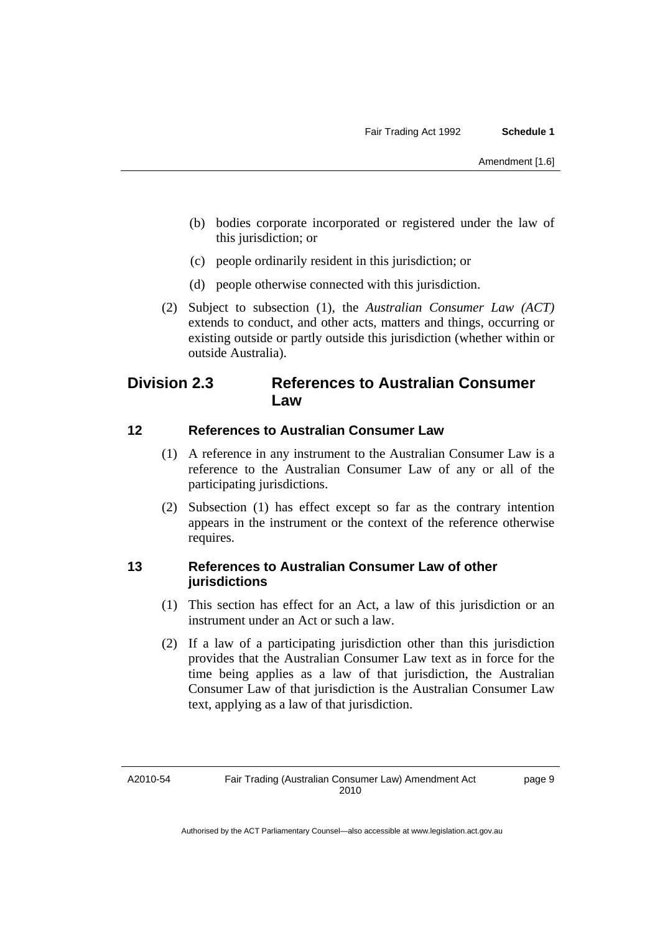- (b) bodies corporate incorporated or registered under the law of this jurisdiction; or
- (c) people ordinarily resident in this jurisdiction; or
- (d) people otherwise connected with this jurisdiction.
- (2) Subject to subsection (1), the *Australian Consumer Law (ACT)* extends to conduct, and other acts, matters and things, occurring or existing outside or partly outside this jurisdiction (whether within or outside Australia).

# **Division 2.3 References to Australian Consumer Law**

## **12 References to Australian Consumer Law**

- (1) A reference in any instrument to the Australian Consumer Law is a reference to the Australian Consumer Law of any or all of the participating jurisdictions.
- (2) Subsection (1) has effect except so far as the contrary intention appears in the instrument or the context of the reference otherwise requires.

## **13 References to Australian Consumer Law of other jurisdictions**

- (1) This section has effect for an Act, a law of this jurisdiction or an instrument under an Act or such a law.
- (2) If a law of a participating jurisdiction other than this jurisdiction provides that the Australian Consumer Law text as in force for the time being applies as a law of that jurisdiction, the Australian Consumer Law of that jurisdiction is the Australian Consumer Law text, applying as a law of that jurisdiction.

A2010-54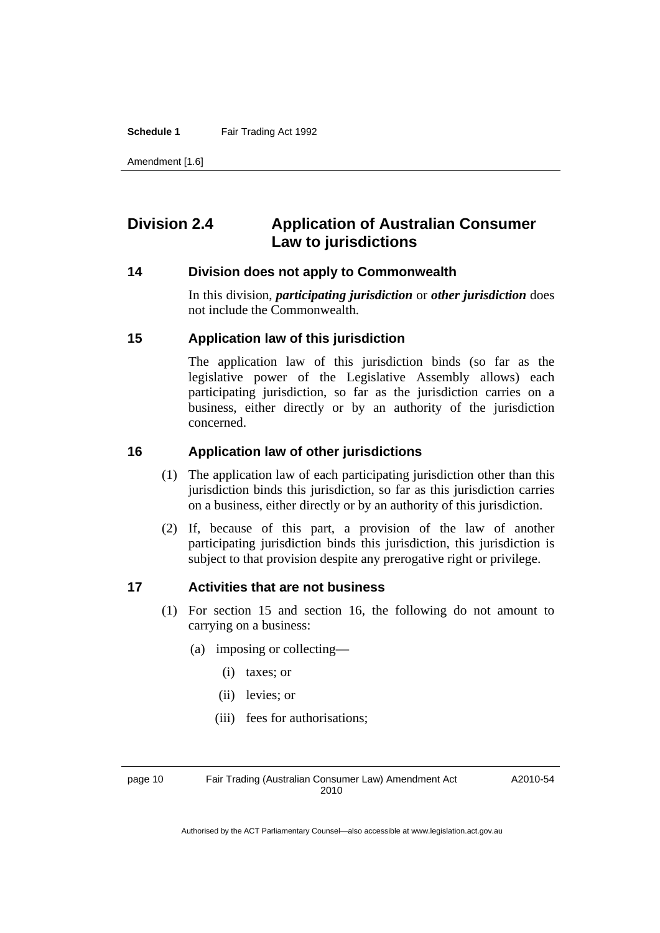Amendment [1.6]

# **Division 2.4 Application of Australian Consumer Law to jurisdictions**

### **14 Division does not apply to Commonwealth**

In this division, *participating jurisdiction* or *other jurisdiction* does not include the Commonwealth.

#### **15 Application law of this jurisdiction**

The application law of this jurisdiction binds (so far as the legislative power of the Legislative Assembly allows) each participating jurisdiction, so far as the jurisdiction carries on a business, either directly or by an authority of the jurisdiction concerned.

#### **16 Application law of other jurisdictions**

- (1) The application law of each participating jurisdiction other than this jurisdiction binds this jurisdiction, so far as this jurisdiction carries on a business, either directly or by an authority of this jurisdiction.
- (2) If, because of this part, a provision of the law of another participating jurisdiction binds this jurisdiction, this jurisdiction is subject to that provision despite any prerogative right or privilege.

#### **17 Activities that are not business**

- (1) For section 15 and section 16, the following do not amount to carrying on a business:
	- (a) imposing or collecting—
		- (i) taxes; or
		- (ii) levies; or
		- (iii) fees for authorisations;

page 10 Fair Trading (Australian Consumer Law) Amendment Act 2010

A2010-54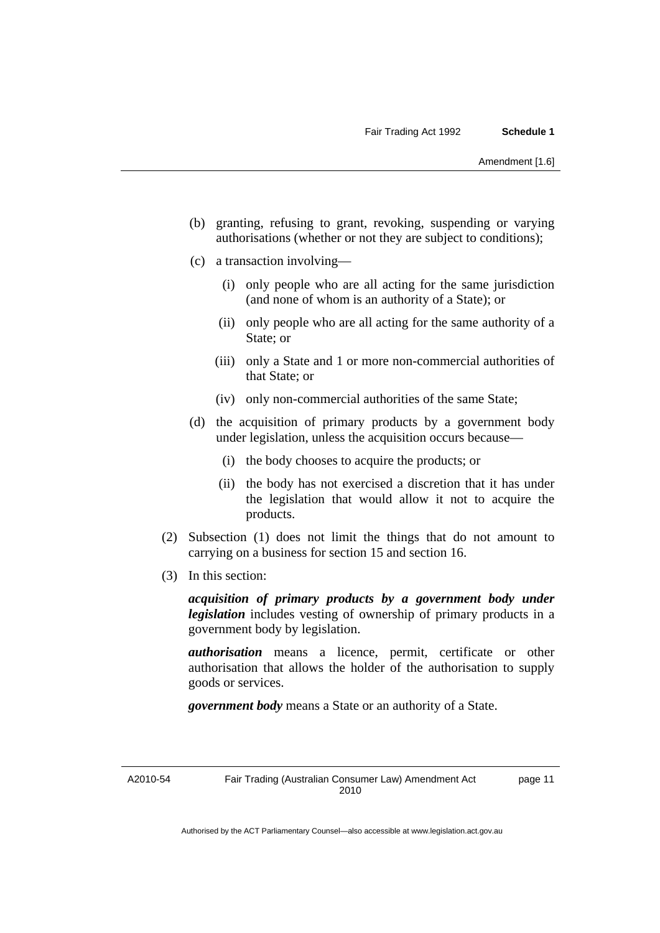- (b) granting, refusing to grant, revoking, suspending or varying authorisations (whether or not they are subject to conditions);
- (c) a transaction involving—
	- (i) only people who are all acting for the same jurisdiction (and none of whom is an authority of a State); or
	- (ii) only people who are all acting for the same authority of a State; or
	- (iii) only a State and 1 or more non-commercial authorities of that State; or
	- (iv) only non-commercial authorities of the same State;
- (d) the acquisition of primary products by a government body under legislation, unless the acquisition occurs because—
	- (i) the body chooses to acquire the products; or
	- (ii) the body has not exercised a discretion that it has under the legislation that would allow it not to acquire the products.
- (2) Subsection (1) does not limit the things that do not amount to carrying on a business for section 15 and section 16.
- (3) In this section:

*acquisition of primary products by a government body under legislation* includes vesting of ownership of primary products in a government body by legislation.

*authorisation* means a licence, permit, certificate or other authorisation that allows the holder of the authorisation to supply goods or services.

*government body* means a State or an authority of a State.

A2010-54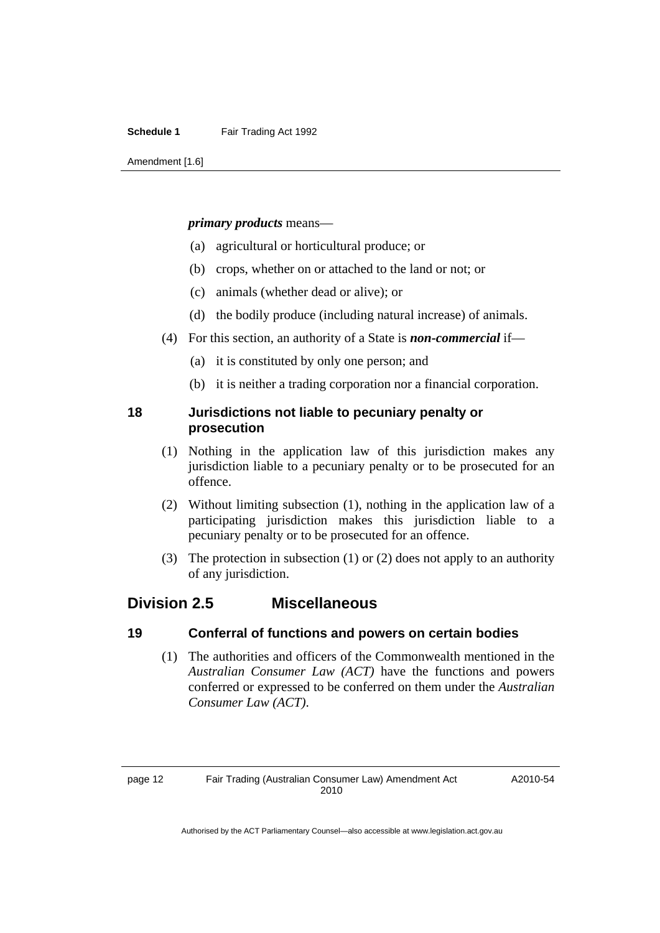Amendment [1.6]

#### *primary products* means—

- (a) agricultural or horticultural produce; or
- (b) crops, whether on or attached to the land or not; or
- (c) animals (whether dead or alive); or
- (d) the bodily produce (including natural increase) of animals.
- (4) For this section, an authority of a State is *non-commercial* if—
	- (a) it is constituted by only one person; and
	- (b) it is neither a trading corporation nor a financial corporation.

## **18 Jurisdictions not liable to pecuniary penalty or prosecution**

- (1) Nothing in the application law of this jurisdiction makes any jurisdiction liable to a pecuniary penalty or to be prosecuted for an offence.
- (2) Without limiting subsection (1), nothing in the application law of a participating jurisdiction makes this jurisdiction liable to a pecuniary penalty or to be prosecuted for an offence.
- (3) The protection in subsection (1) or (2) does not apply to an authority of any jurisdiction.

# **Division 2.5 Miscellaneous**

## **19 Conferral of functions and powers on certain bodies**

 (1) The authorities and officers of the Commonwealth mentioned in the *Australian Consumer Law (ACT)* have the functions and powers conferred or expressed to be conferred on them under the *Australian Consumer Law (ACT)*.

A2010-54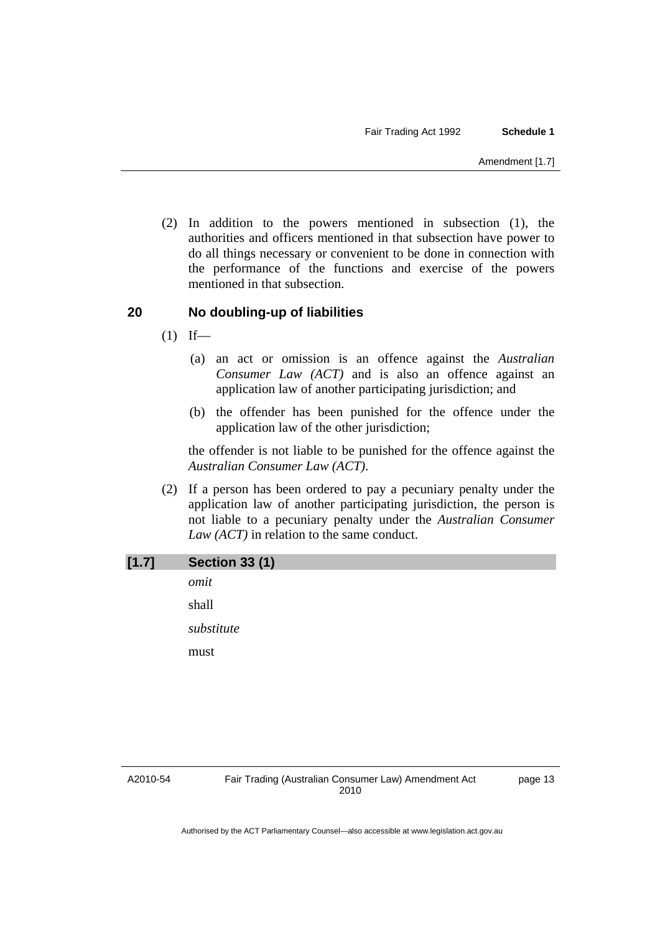(2) In addition to the powers mentioned in subsection (1), the authorities and officers mentioned in that subsection have power to do all things necessary or convenient to be done in connection with the performance of the functions and exercise of the powers mentioned in that subsection.

## **20 No doubling-up of liabilities**

- $(1)$  If—
	- (a) an act or omission is an offence against the *Australian Consumer Law (ACT)* and is also an offence against an application law of another participating jurisdiction; and
	- (b) the offender has been punished for the offence under the application law of the other jurisdiction;

the offender is not liable to be punished for the offence against the *Australian Consumer Law (ACT)*.

 (2) If a person has been ordered to pay a pecuniary penalty under the application law of another participating jurisdiction, the person is not liable to a pecuniary penalty under the *Australian Consumer Law (ACT)* in relation to the same conduct.

| [1.7] | <b>Section 33 (1)</b> |
|-------|-----------------------|
|       | omit                  |
|       | shall                 |
|       | substitute            |
|       | must                  |
|       |                       |

#### A2010-54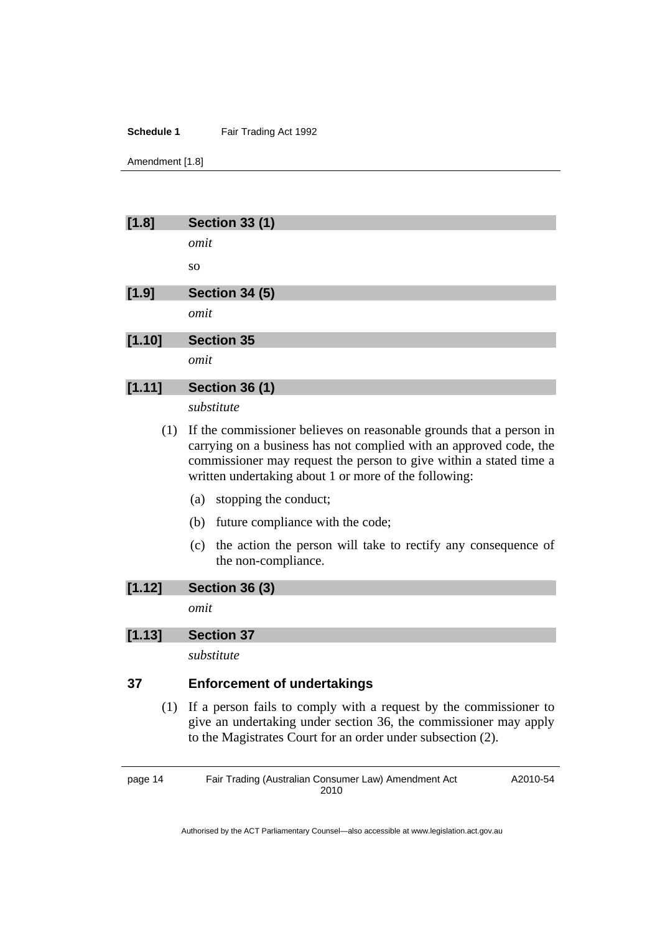Amendment [1.8]

| [1.8]   | <b>Section 33 (1)</b> |
|---------|-----------------------|
|         | omit                  |
|         | <b>SO</b>             |
| $[1.9]$ | <b>Section 34 (5)</b> |
|         | omit                  |
| [1.10]  | <b>Section 35</b>     |
|         | omit                  |
| [1.11]  | <b>Section 36 (1)</b> |
|         | substitute            |

- (1) If the commissioner believes on reasonable grounds that a person in carrying on a business has not complied with an approved code, the commissioner may request the person to give within a stated time a written undertaking about 1 or more of the following:
	- (a) stopping the conduct;
	- (b) future compliance with the code;
	- (c) the action the person will take to rectify any consequence of the non-compliance.

## **[1.12] Section 36 (3)**

*omit* 

## **[1.13] Section 37**

*substitute* 

# **37 Enforcement of undertakings**

 (1) If a person fails to comply with a request by the commissioner to give an undertaking under section 36, the commissioner may apply to the Magistrates Court for an order under subsection (2).

page 14 Fair Trading (Australian Consumer Law) Amendment Act 2010 A2010-54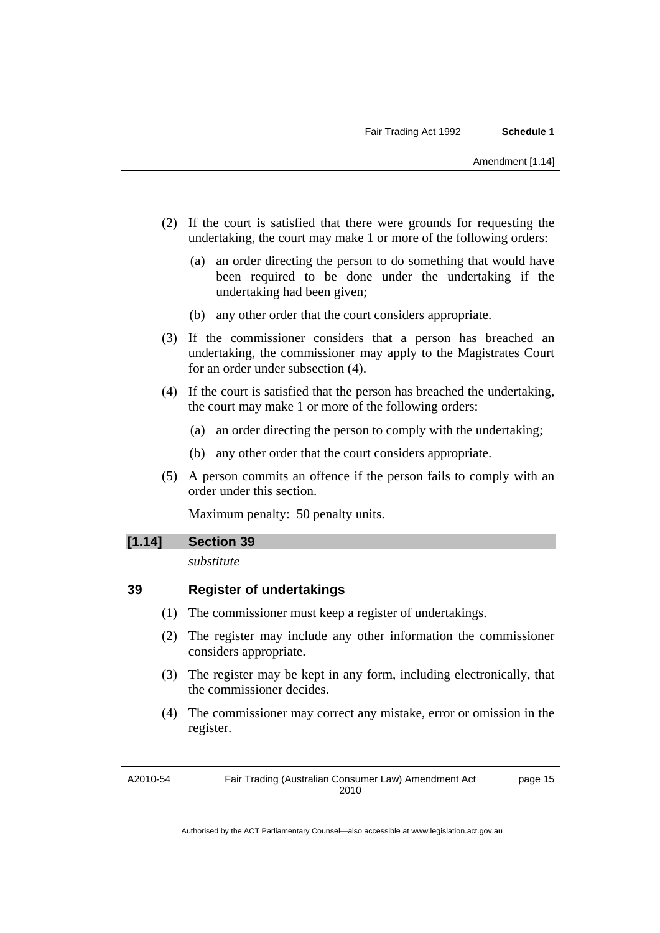- (2) If the court is satisfied that there were grounds for requesting the undertaking, the court may make 1 or more of the following orders:
	- (a) an order directing the person to do something that would have been required to be done under the undertaking if the undertaking had been given;
	- (b) any other order that the court considers appropriate.
- (3) If the commissioner considers that a person has breached an undertaking, the commissioner may apply to the Magistrates Court for an order under subsection (4).
- (4) If the court is satisfied that the person has breached the undertaking, the court may make 1 or more of the following orders:
	- (a) an order directing the person to comply with the undertaking;
	- (b) any other order that the court considers appropriate.
- (5) A person commits an offence if the person fails to comply with an order under this section.

Maximum penalty: 50 penalty units.

#### **[1.14] Section 39**

*substitute* 

# **39 Register of undertakings**

- (1) The commissioner must keep a register of undertakings.
- (2) The register may include any other information the commissioner considers appropriate.
- (3) The register may be kept in any form, including electronically, that the commissioner decides.
- (4) The commissioner may correct any mistake, error or omission in the register.

A2010-54

Fair Trading (Australian Consumer Law) Amendment Act 2010 page 15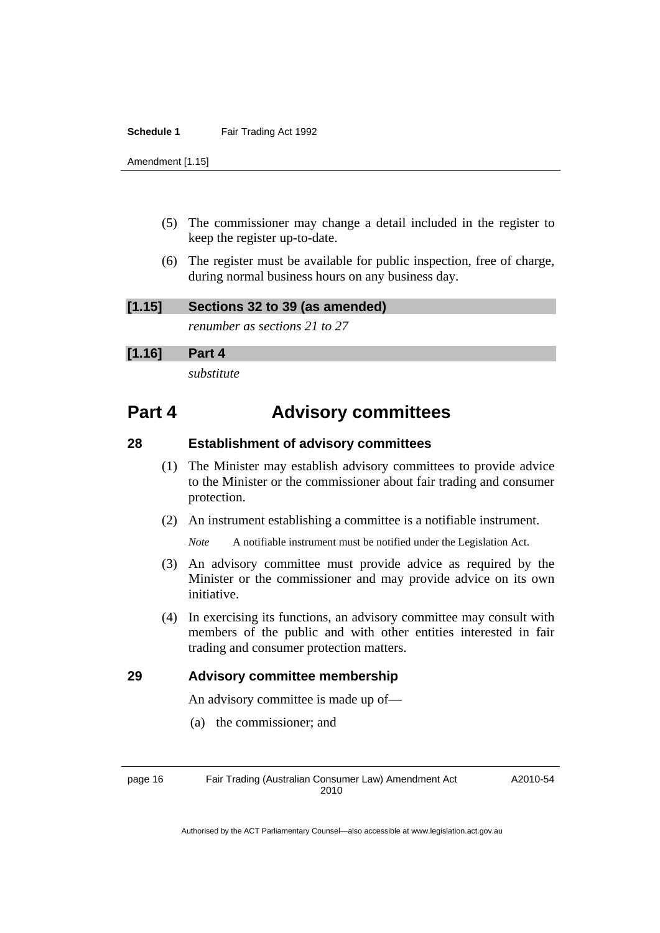Amendment [1.15]

- (5) The commissioner may change a detail included in the register to keep the register up-to-date.
- (6) The register must be available for public inspection, free of charge, during normal business hours on any business day.

**[1.15] Sections 32 to 39 (as amended)** 

*renumber as sections 21 to 27* 

## **[1.16] Part 4**

*substitute* 

# **Part 4 Advisory committees**

## **28 Establishment of advisory committees**

- (1) The Minister may establish advisory committees to provide advice to the Minister or the commissioner about fair trading and consumer protection.
- (2) An instrument establishing a committee is a notifiable instrument.

*Note* A notifiable instrument must be notified under the Legislation Act.

- (3) An advisory committee must provide advice as required by the Minister or the commissioner and may provide advice on its own initiative.
- (4) In exercising its functions, an advisory committee may consult with members of the public and with other entities interested in fair trading and consumer protection matters.

## **29 Advisory committee membership**

An advisory committee is made up of—

(a) the commissioner; and

page 16 Fair Trading (Australian Consumer Law) Amendment Act 2010

A2010-54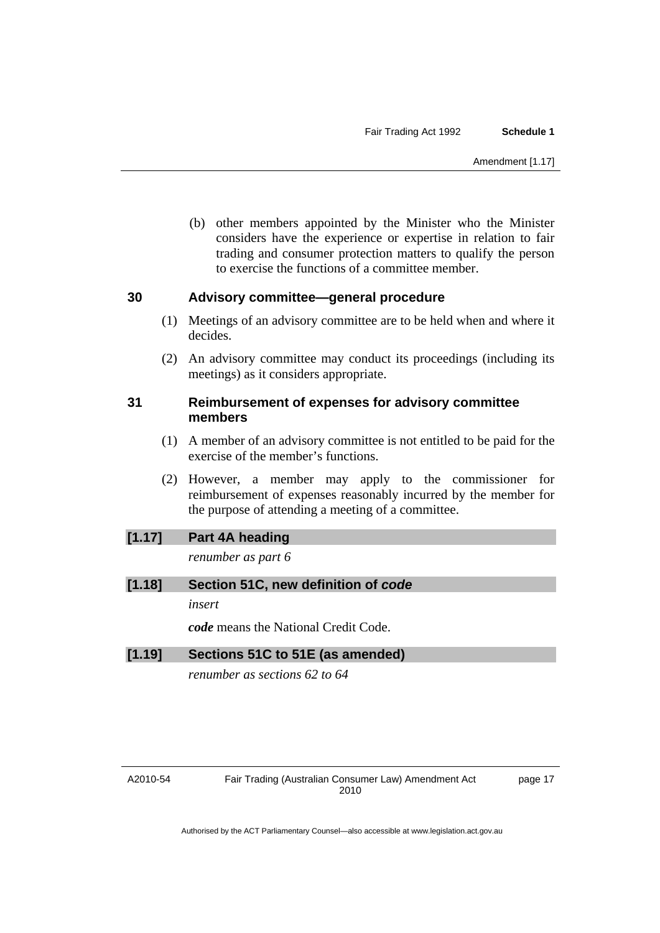(b) other members appointed by the Minister who the Minister considers have the experience or expertise in relation to fair trading and consumer protection matters to qualify the person to exercise the functions of a committee member.

#### **30 Advisory committee—general procedure**

- (1) Meetings of an advisory committee are to be held when and where it decides.
- (2) An advisory committee may conduct its proceedings (including its meetings) as it considers appropriate.

## **31 Reimbursement of expenses for advisory committee members**

- (1) A member of an advisory committee is not entitled to be paid for the exercise of the member's functions.
- (2) However, a member may apply to the commissioner for reimbursement of expenses reasonably incurred by the member for the purpose of attending a meeting of a committee.

## **[1.17] Part 4A heading**

*renumber as part 6* 

## **[1.18] Section 51C, new definition of** *code*

*insert* 

*code* means the National Credit Code.

## **[1.19] Sections 51C to 51E (as amended)**

*renumber as sections 62 to 64* 

#### A2010-54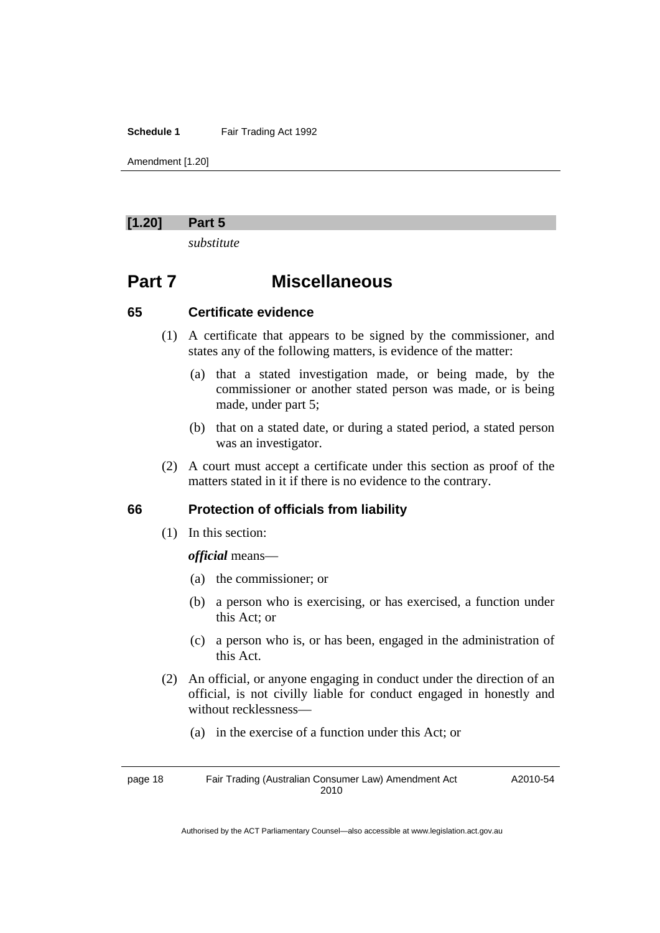Amendment [1.20]

#### **[1.20] Part 5**

*substitute* 

# **Part 7 Miscellaneous**

#### **65 Certificate evidence**

- (1) A certificate that appears to be signed by the commissioner, and states any of the following matters, is evidence of the matter:
	- (a) that a stated investigation made, or being made, by the commissioner or another stated person was made, or is being made, under part 5;
	- (b) that on a stated date, or during a stated period, a stated person was an investigator.
- (2) A court must accept a certificate under this section as proof of the matters stated in it if there is no evidence to the contrary.

## **66 Protection of officials from liability**

(1) In this section:

#### *official* means—

- (a) the commissioner; or
- (b) a person who is exercising, or has exercised, a function under this Act; or
- (c) a person who is, or has been, engaged in the administration of this Act.
- (2) An official, or anyone engaging in conduct under the direction of an official, is not civilly liable for conduct engaged in honestly and without recklessness—
	- (a) in the exercise of a function under this Act; or

page 18 Fair Trading (Australian Consumer Law) Amendment Act 2010 A2010-54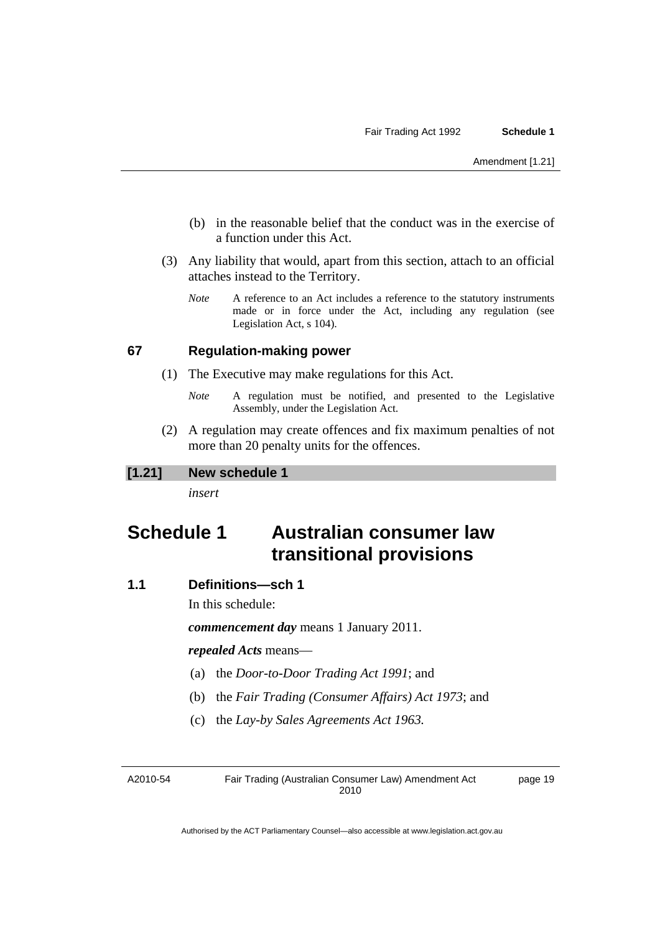- (b) in the reasonable belief that the conduct was in the exercise of a function under this Act.
- (3) Any liability that would, apart from this section, attach to an official attaches instead to the Territory.
	- *Note* A reference to an Act includes a reference to the statutory instruments made or in force under the Act, including any regulation (see Legislation Act, s 104).

#### **67 Regulation-making power**

- (1) The Executive may make regulations for this Act.
	- *Note* A regulation must be notified, and presented to the Legislative Assembly, under the Legislation Act.
- (2) A regulation may create offences and fix maximum penalties of not more than 20 penalty units for the offences.

## **[1.21] New schedule 1**

*insert* 

# **Schedule 1 Australian consumer law transitional provisions**

# **1.1 Definitions—sch 1**

In this schedule:

*commencement day* means 1 January 2011.

#### *repealed Acts* means—

- (a) the *Door-to-Door Trading Act 1991*; and
- (b) the *Fair Trading (Consumer Affairs) Act 1973*; and
- (c) the *Lay-by Sales Agreements Act 1963.*

A2010-54

Fair Trading (Australian Consumer Law) Amendment Act 2010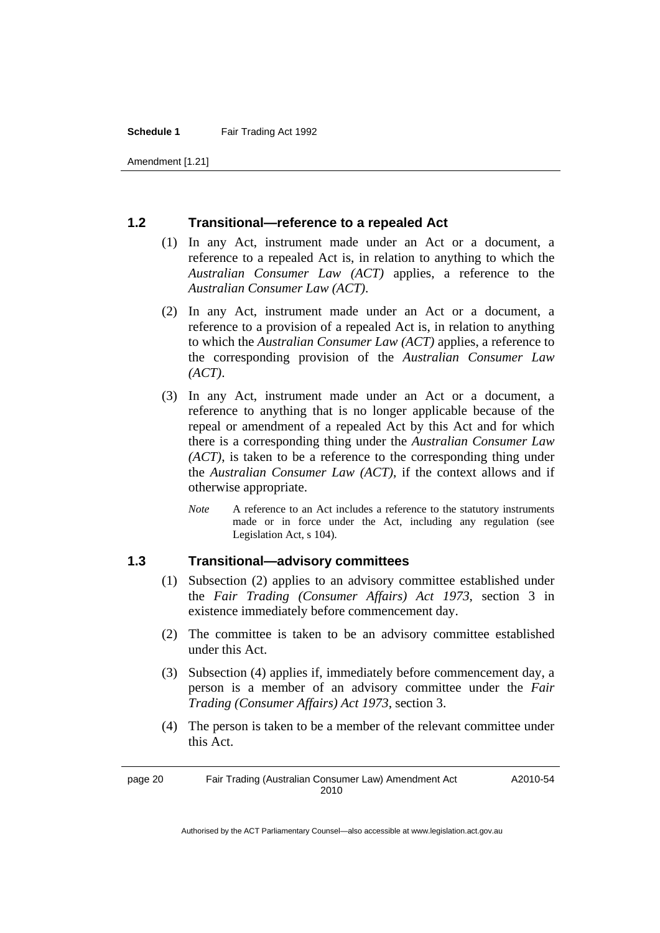Amendment [1.21]

#### **1.2 Transitional—reference to a repealed Act**

- (1) In any Act, instrument made under an Act or a document, a reference to a repealed Act is, in relation to anything to which the *Australian Consumer Law (ACT)* applies, a reference to the *Australian Consumer Law (ACT)*.
- (2) In any Act, instrument made under an Act or a document, a reference to a provision of a repealed Act is, in relation to anything to which the *Australian Consumer Law (ACT)* applies, a reference to the corresponding provision of the *Australian Consumer Law (ACT)*.
- (3) In any Act, instrument made under an Act or a document, a reference to anything that is no longer applicable because of the repeal or amendment of a repealed Act by this Act and for which there is a corresponding thing under the *Australian Consumer Law (ACT)*, is taken to be a reference to the corresponding thing under the *Australian Consumer Law (ACT)*, if the context allows and if otherwise appropriate.
	- *Note* A reference to an Act includes a reference to the statutory instruments made or in force under the Act, including any regulation (see Legislation Act, s 104).

#### **1.3 Transitional—advisory committees**

- (1) Subsection (2) applies to an advisory committee established under the *Fair Trading (Consumer Affairs) Act 1973*, section 3 in existence immediately before commencement day.
- (2) The committee is taken to be an advisory committee established under this Act.
- (3) Subsection (4) applies if, immediately before commencement day, a person is a member of an advisory committee under the *Fair Trading (Consumer Affairs) Act 1973*, section 3.
- (4) The person is taken to be a member of the relevant committee under this Act.

A2010-54

page 20 Fair Trading (Australian Consumer Law) Amendment Act 2010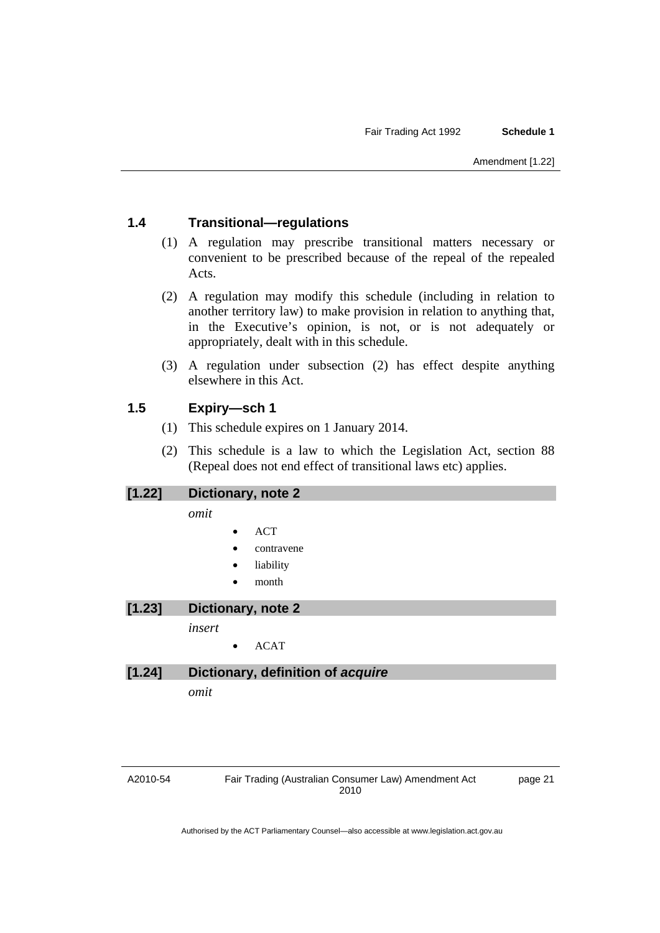# **1.4 Transitional—regulations**

- (1) A regulation may prescribe transitional matters necessary or convenient to be prescribed because of the repeal of the repealed Acts.
- (2) A regulation may modify this schedule (including in relation to another territory law) to make provision in relation to anything that, in the Executive's opinion, is not, or is not adequately or appropriately, dealt with in this schedule.
- (3) A regulation under subsection (2) has effect despite anything elsewhere in this Act.

## **1.5 Expiry—sch 1**

- (1) This schedule expires on 1 January 2014.
- (2) This schedule is a law to which the Legislation Act, section 88 (Repeal does not end effect of transitional laws etc) applies.

# **[1.22] Dictionary, note 2**

*omit* 

- ACT
- contravene
- **liability**
- month

**[1.23] Dictionary, note 2** 

*insert* 

• ACAT

## **[1.24] Dictionary, definition of** *acquire*

*omit* 

A2010-54

Fair Trading (Australian Consumer Law) Amendment Act 2010

page 21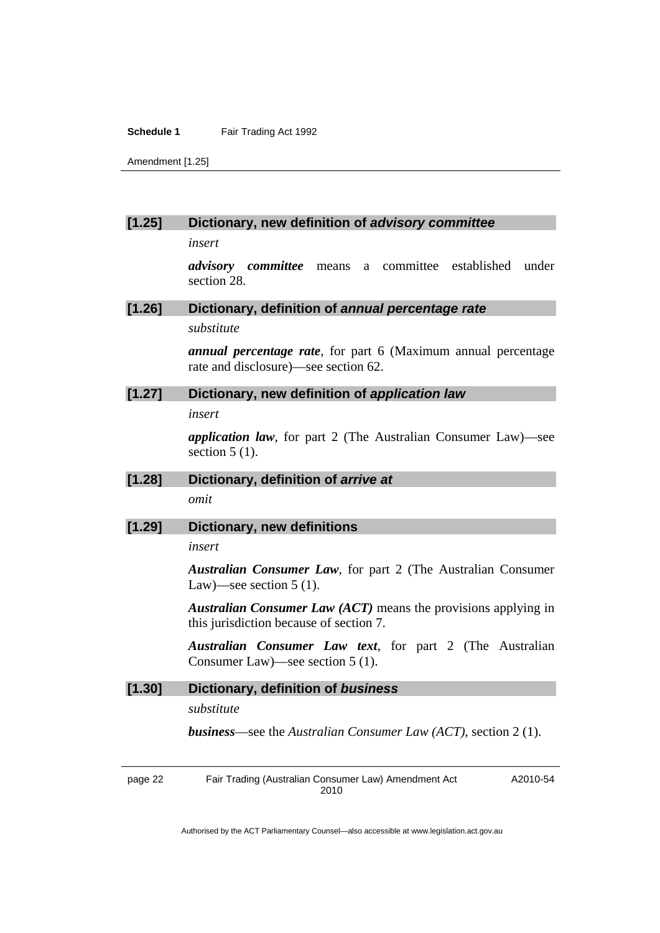Amendment [1.25]

#### **[1.25] Dictionary, new definition of** *advisory committee*

*insert* 

*advisory committee* means a committee established under section 28.

#### **[1.26] Dictionary, definition of** *annual percentage rate*

*substitute* 

*annual percentage rate*, for part 6 (Maximum annual percentage rate and disclosure)—see section 62.

## **[1.27] Dictionary, new definition of** *application law*

*insert* 

*application law*, for part 2 (The Australian Consumer Law)—see section  $5(1)$ .

**[1.28] Dictionary, definition of** *arrive at omit* 

#### **[1.29] Dictionary, new definitions**

*insert* 

*Australian Consumer Law*, for part 2 (The Australian Consumer Law)—see section 5 (1).

*Australian Consumer Law (ACT)* means the provisions applying in this jurisdiction because of section 7.

*Australian Consumer Law text*, for part 2 (The Australian Consumer Law)—see section 5 (1).

### **[1.30] Dictionary, definition of** *business*

*substitute* 

*business*—see the *Australian Consumer Law (ACT)*, section 2 (1).

page 22 Fair Trading (Australian Consumer Law) Amendment Act 2010 A2010-54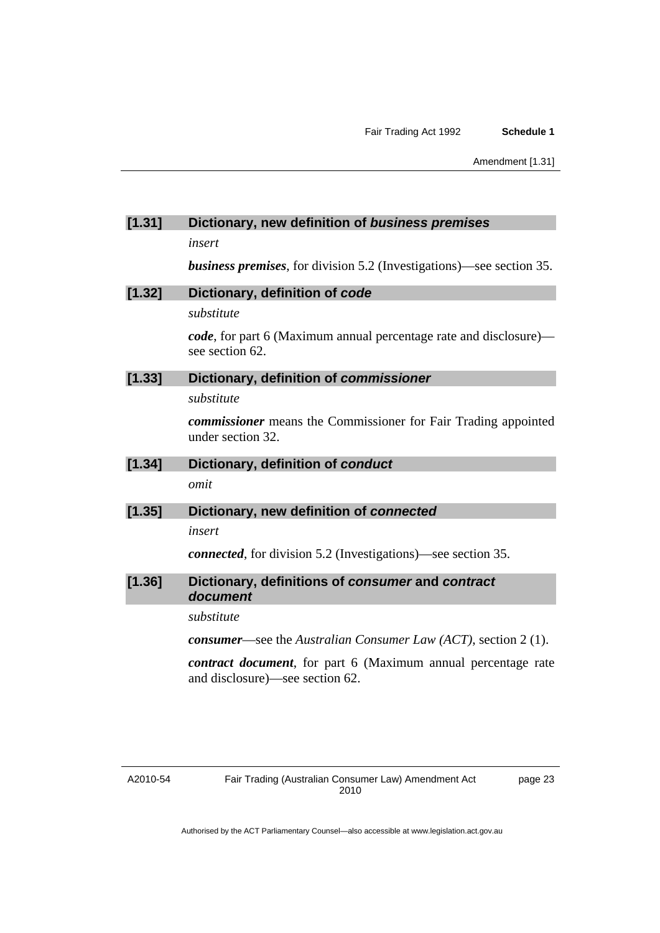#### **[1.31] Dictionary, new definition of** *business premises*

*insert* 

*business premises*, for division 5.2 (Investigations)—see section 35.

# **[1.32] Dictionary, definition of** *code*

*substitute* 

*code*, for part 6 (Maximum annual percentage rate and disclosure) see section 62.

## **[1.33] Dictionary, definition of** *commissioner*

*substitute* 

*commissioner* means the Commissioner for Fair Trading appointed under section 32.

# **[1.34] Dictionary, definition of** *conduct*

*omit* 

#### **[1.35] Dictionary, new definition of** *connected*

*insert* 

*connected*, for division 5.2 (Investigations)—see section 35.

#### **[1.36] Dictionary, definitions of** *consumer* **and** *contract document*

*substitute* 

*consumer*—see the *Australian Consumer Law (ACT)*, section 2 (1).

*contract document*, for part 6 (Maximum annual percentage rate and disclosure)—see section 62.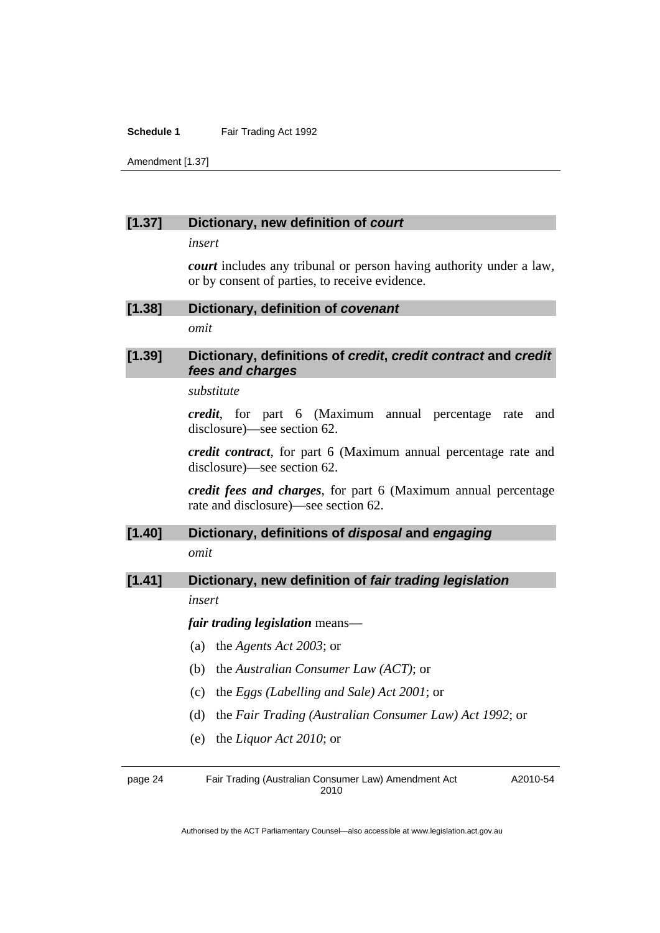Amendment [1.37]

#### **[1.37] Dictionary, new definition of** *court*

*insert* 

*court* includes any tribunal or person having authority under a law, or by consent of parties, to receive evidence.

**[1.38] Dictionary, definition of** *covenant* 

*omit* 

## **[1.39] Dictionary, definitions of** *credit***,** *credit contract* **and** *credit fees and charges*

*substitute* 

*credit*, for part 6 (Maximum annual percentage rate and disclosure)—see section 62.

*credit contract*, for part 6 (Maximum annual percentage rate and disclosure)—see section 62.

*credit fees and charges*, for part 6 (Maximum annual percentage rate and disclosure)—see section 62.

# **[1.40] Dictionary, definitions of** *disposal* **and** *engaging*

*omit* 

#### **[1.41] Dictionary, new definition of** *fair trading legislation*

*insert* 

*fair trading legislation* means—

- (a) the *Agents Act 2003*; or
- (b) the *Australian Consumer Law (ACT)*; or
- (c) the *Eggs (Labelling and Sale) Act 2001*; or
- (d) the *Fair Trading (Australian Consumer Law) Act 1992*; or
- (e) the *Liquor Act 2010*; or

page 24 Fair Trading (Australian Consumer Law) Amendment Act 2010 A2010-54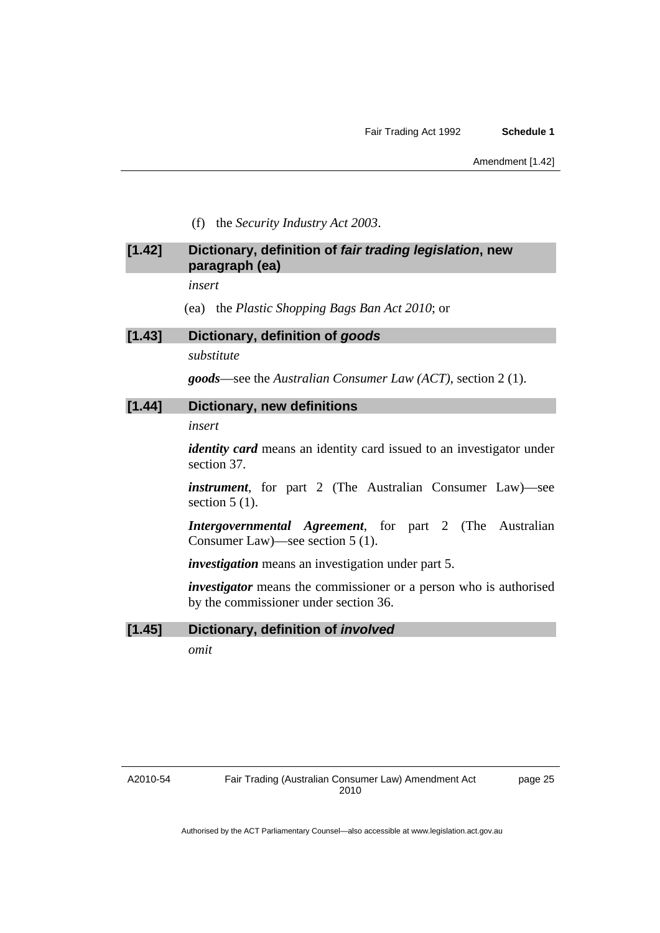(f) the *Security Industry Act 2003*.

## **[1.42] Dictionary, definition of** *fair trading legislation***, new paragraph (ea)**

*insert* 

(ea) the *Plastic Shopping Bags Ban Act 2010*; or

#### **[1.43] Dictionary, definition of** *goods*

*substitute* 

*goods*—see the *Australian Consumer Law (ACT)*, section 2 (1).

#### **[1.44] Dictionary, new definitions**

*insert* 

*identity card* means an identity card issued to an investigator under section 37.

*instrument*, for part 2 (The Australian Consumer Law)—see section  $5(1)$ .

*Intergovernmental Agreement*, for part 2 (The Australian Consumer Law)—see section 5 (1).

*investigation* means an investigation under part 5.

*investigator* means the commissioner or a person who is authorised by the commissioner under section 36.

#### **[1.45] Dictionary, definition of** *involved*

*omit*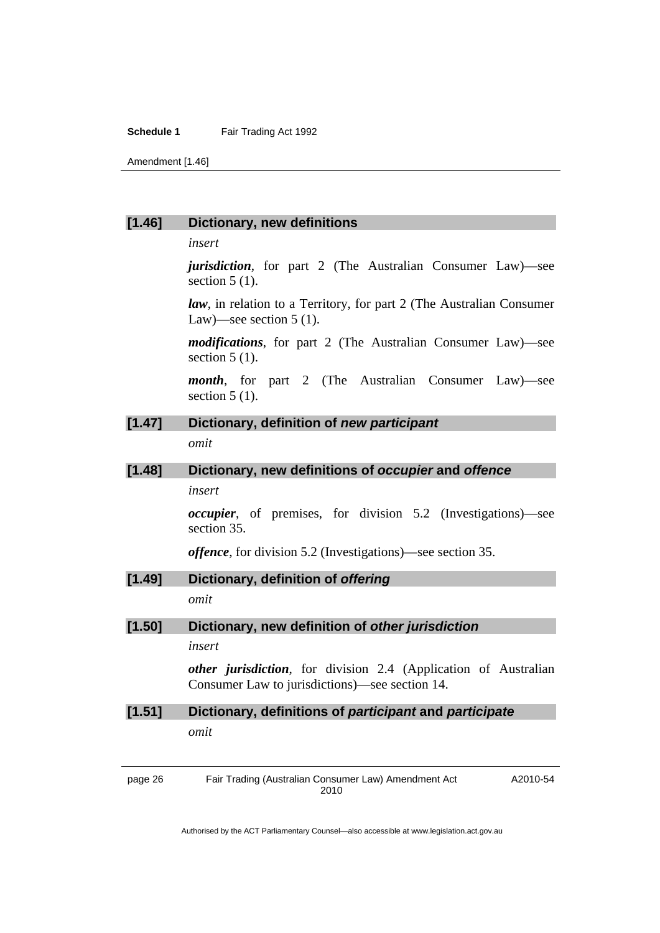Amendment [1.46]

#### **[1.46] Dictionary, new definitions**

*insert* 

*jurisdiction*, for part 2 (The Australian Consumer Law)—see section  $5(1)$ .

*law*, in relation to a Territory, for part 2 (The Australian Consumer Law)—see section  $5(1)$ .

*modifications*, for part 2 (The Australian Consumer Law)—see section  $5(1)$ .

*month*, for part 2 (The Australian Consumer Law)—see section  $5(1)$ .

# **[1.47] Dictionary, definition of** *new participant*

*omit* 

# **[1.48] Dictionary, new definitions of** *occupier* **and** *offence*

*insert* 

*occupier*, of premises, for division 5.2 (Investigations)—see section 35.

*offence*, for division 5.2 (Investigations)—see section 35.

#### **[1.49] Dictionary, definition of** *offering*

*omit* 

#### **[1.50] Dictionary, new definition of** *other jurisdiction*

#### *insert*

*other jurisdiction*, for division 2.4 (Application of Australian Consumer Law to jurisdictions)—see section 14.

# **[1.51] Dictionary, definitions of** *participant* **and** *participate omit*

page 26 Fair Trading (Australian Consumer Law) Amendment Act 2010 A2010-54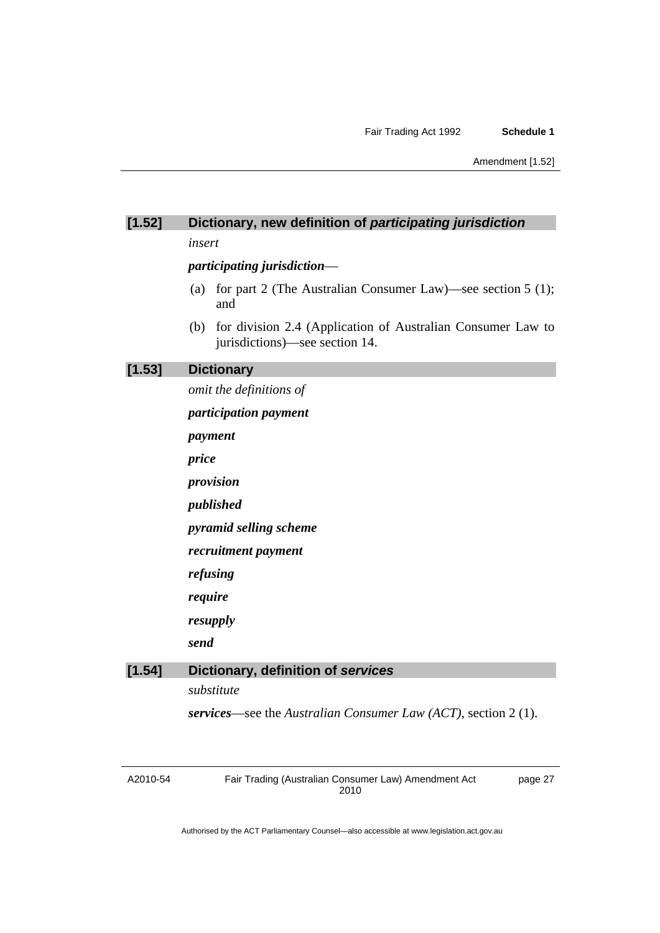# **[1.52] Dictionary, new definition of** *participating jurisdiction*

*insert* 

#### *participating jurisdiction*—

- (a) for part 2 (The Australian Consumer Law)—see section 5 (1); and
- (b) for division 2.4 (Application of Australian Consumer Law to jurisdictions)—see section 14.

## **[1.53] Dictionary**

*omit the definitions of* 

*participation payment* 

*payment* 

*price* 

*provision* 

*published* 

*pyramid selling scheme* 

*recruitment payment* 

*refusing* 

*require* 

*resupply* 

*send* 

#### **[1.54] Dictionary, definition of** *services*

*substitute* 

*services*—see the *Australian Consumer Law (ACT)*, section 2 (1).

A2010-54

Fair Trading (Australian Consumer Law) Amendment Act 2010

page 27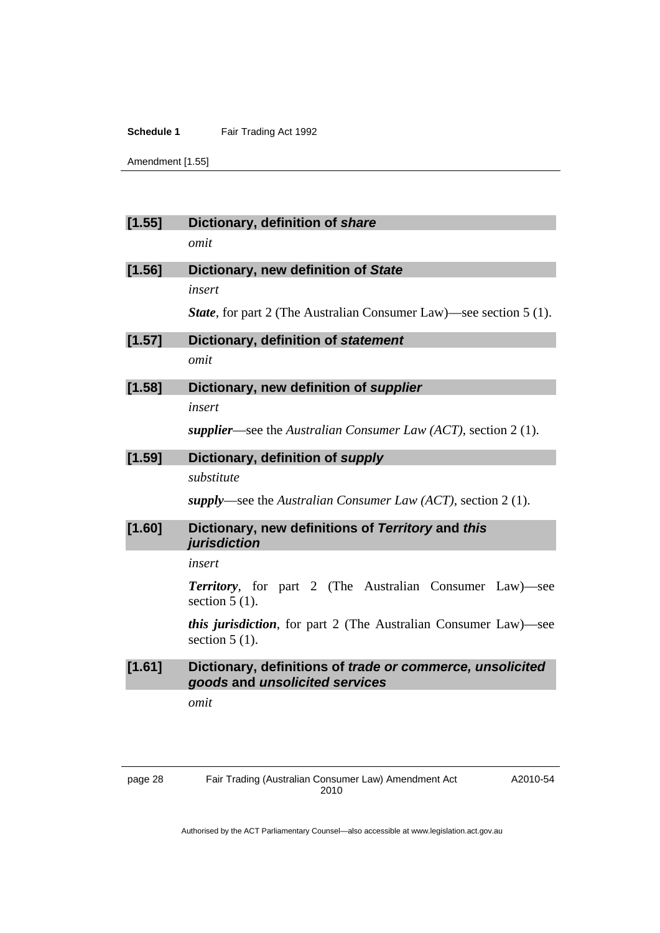Amendment [1.55]

| [1.55] | Dictionary, definition of share                                                             |
|--------|---------------------------------------------------------------------------------------------|
|        | omit                                                                                        |
| [1.56] | Dictionary, new definition of State                                                         |
|        | insert                                                                                      |
|        | <b>State</b> , for part 2 (The Australian Consumer Law)—see section 5 (1).                  |
| [1.57] | Dictionary, definition of statement                                                         |
|        | omit                                                                                        |
| [1.58] | Dictionary, new definition of supplier                                                      |
|        | insert                                                                                      |
|        | supplier—see the Australian Consumer Law (ACT), section 2 (1).                              |
| [1.59] | Dictionary, definition of supply                                                            |
|        | substitute                                                                                  |
|        | supply—see the Australian Consumer Law (ACT), section 2 (1).                                |
| [1.60] | Dictionary, new definitions of Territory and this<br>jurisdiction                           |
|        | insert                                                                                      |
|        | <b>Territory</b> , for part 2 (The Australian Consumer Law) see<br>section $5(1)$ .         |
|        | <i>this jurisdiction</i> , for part 2 (The Australian Consumer Law)—see<br>section $5(1)$ . |
| [1.61] | Dictionary, definitions of trade or commerce, unsolicited<br>goods and unsolicited services |
|        | omit                                                                                        |
|        |                                                                                             |
|        |                                                                                             |

A2010-54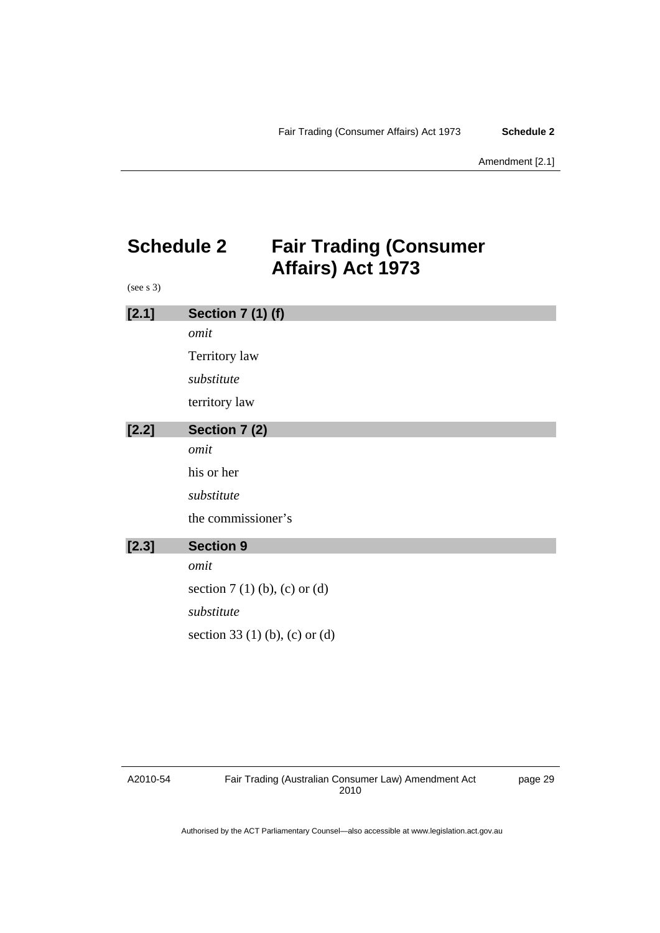# <span id="page-32-0"></span>**Schedule 2 Fair Trading (Consumer Affairs) Act 1973**

(see s 3)

| [2.1]   | <b>Section 7 (1) (f)</b>       |
|---------|--------------------------------|
|         | omit                           |
|         | Territory law                  |
|         | substitute                     |
|         | territory law                  |
| $[2.2]$ | Section 7 (2)                  |
|         | omit                           |
|         | his or her                     |
|         | substitute                     |
|         | the commissioner's             |
| [2.3]   | <b>Section 9</b>               |
|         | omit                           |
|         | section $7(1)$ (b), (c) or (d) |
|         | substitute                     |
|         | section 33 (1) (b), (c) or (d) |
|         |                                |

#### A2010-54

page 29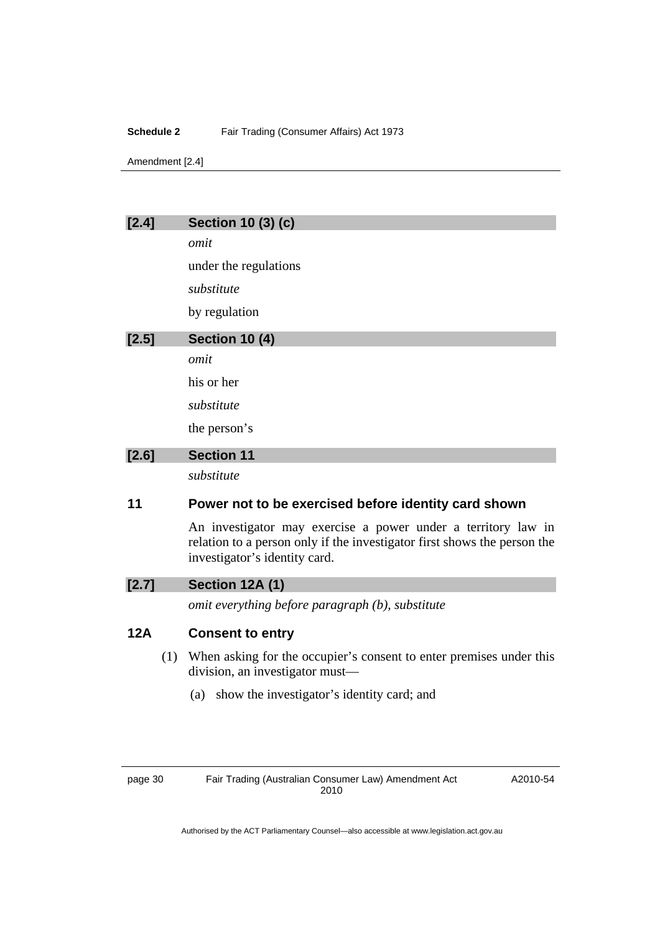#### **Schedule 2** Fair Trading (Consumer Affairs) Act 1973

Amendment [2.4]

# **[2.4] Section 10 (3) (c)**  *omit*  under the regulations *substitute*  by regulation **[2.5] Section 10 (4)**  *omit*  his or her *substitute*  the person's **[2.6] Section 11**  *substitute*

## **11 Power not to be exercised before identity card shown**

An investigator may exercise a power under a territory law in relation to a person only if the investigator first shows the person the investigator's identity card.

# **[2.7] Section 12A (1)**

*omit everything before paragraph (b), substitute* 

## **12A Consent to entry**

- (1) When asking for the occupier's consent to enter premises under this division, an investigator must—
	- (a) show the investigator's identity card; and

page 30 Fair Trading (Australian Consumer Law) Amendment Act 2010

A2010-54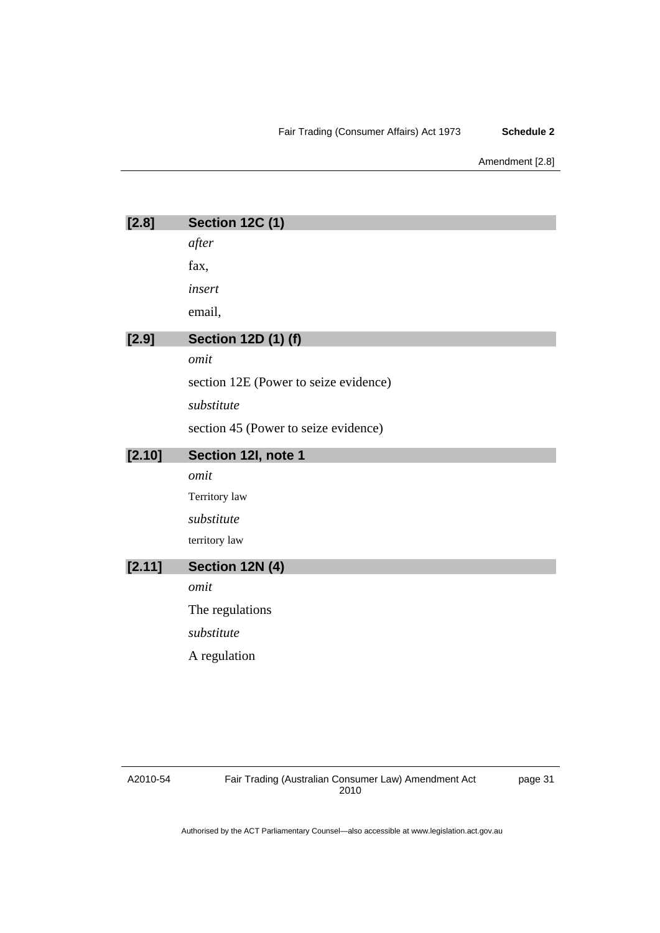#### Fair Trading (Consumer Affairs) Act 1973 **Schedule 2**

#### Amendment [2.8]

| [2.8]  | <b>Section 12C (1)</b>                |
|--------|---------------------------------------|
|        | after                                 |
|        | fax,                                  |
|        | insert                                |
|        | email,                                |
| [2.9]  | <b>Section 12D (1) (f)</b>            |
|        | omit                                  |
|        | section 12E (Power to seize evidence) |
|        | substitute                            |
|        | section 45 (Power to seize evidence)  |
| [2.10] | Section 12I, note 1                   |
|        | omit                                  |
|        | Territory law                         |
|        | substitute                            |
|        | territory law                         |
| [2.11] | Section 12N (4)                       |
|        | omit                                  |
|        | The regulations                       |
|        | substitute                            |
|        | A regulation                          |
|        |                                       |
|        |                                       |

#### A2010-54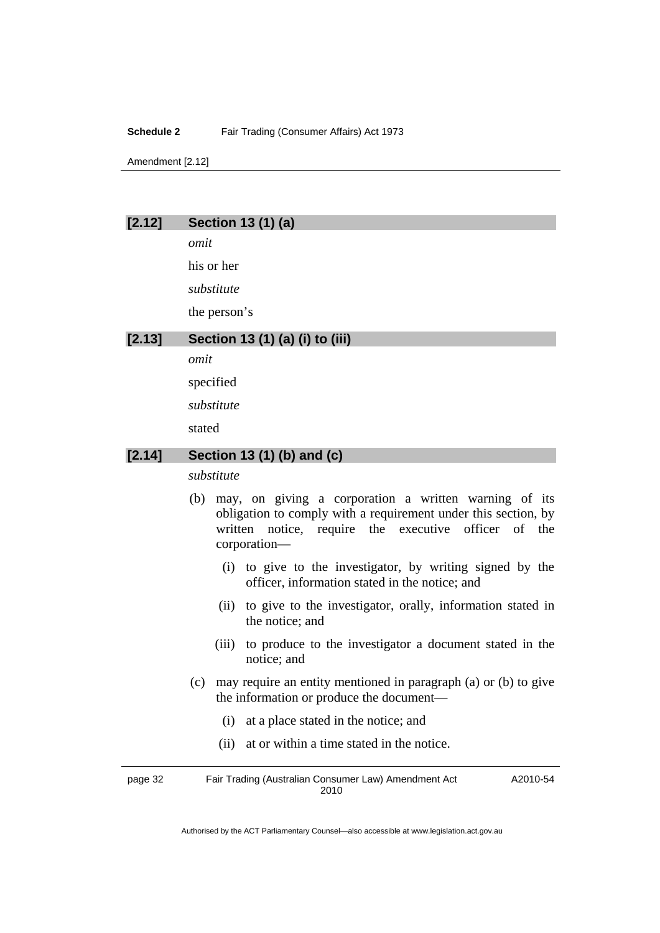#### **Schedule 2** Fair Trading (Consumer Affairs) Act 1973

Amendment [2.12]

#### **[2.12] Section 13 (1) (a)**

*omit* 

his or her

*substitute* 

the person's

## **[2.13] Section 13 (1) (a) (i) to (iii)**

*omit* 

specified

*substitute* 

stated

#### **[2.14] Section 13 (1) (b) and (c)**

*substitute* 

- (b) may, on giving a corporation a written warning of its obligation to comply with a requirement under this section, by written notice, require the executive officer of the corporation—
	- (i) to give to the investigator, by writing signed by the officer, information stated in the notice; and
	- (ii) to give to the investigator, orally, information stated in the notice; and
	- (iii) to produce to the investigator a document stated in the notice; and
- (c) may require an entity mentioned in paragraph (a) or (b) to give the information or produce the document—
	- (i) at a place stated in the notice; and
	- (ii) at or within a time stated in the notice.

page 32 Fair Trading (Australian Consumer Law) Amendment Act 2010 A2010-54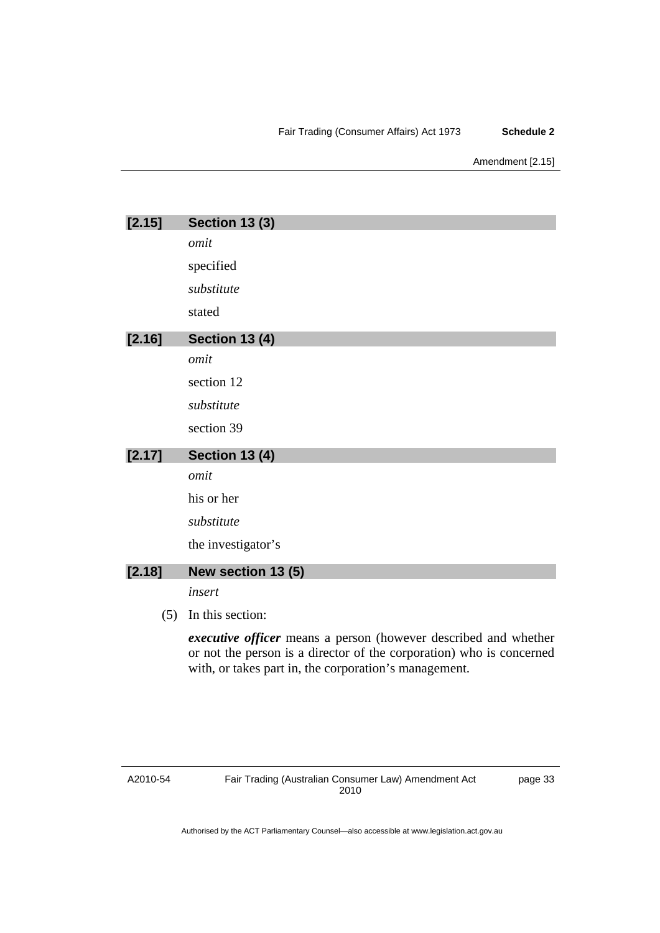#### Fair Trading (Consumer Affairs) Act 1973 **Schedule 2**

#### Amendment [2.15]

| [2.15] | <b>Section 13 (3)</b>                                                                                                                                                                                   |
|--------|---------------------------------------------------------------------------------------------------------------------------------------------------------------------------------------------------------|
|        | omit                                                                                                                                                                                                    |
|        | specified                                                                                                                                                                                               |
|        | substitute                                                                                                                                                                                              |
|        | stated                                                                                                                                                                                                  |
| [2.16] | <b>Section 13 (4)</b>                                                                                                                                                                                   |
|        | omit                                                                                                                                                                                                    |
|        | section 12                                                                                                                                                                                              |
|        | substitute                                                                                                                                                                                              |
|        | section 39                                                                                                                                                                                              |
| [2.17] | <b>Section 13 (4)</b>                                                                                                                                                                                   |
|        | omit                                                                                                                                                                                                    |
|        | his or her                                                                                                                                                                                              |
|        | substitute                                                                                                                                                                                              |
|        | the investigator's                                                                                                                                                                                      |
| [2.18] | New section 13 (5)                                                                                                                                                                                      |
|        | insert                                                                                                                                                                                                  |
| (5)    | In this section:                                                                                                                                                                                        |
|        | <i>executive officer</i> means a person (however described and whether<br>or not the person is a director of the corporation) who is concerned<br>with, or takes part in, the corporation's management. |

A2010-54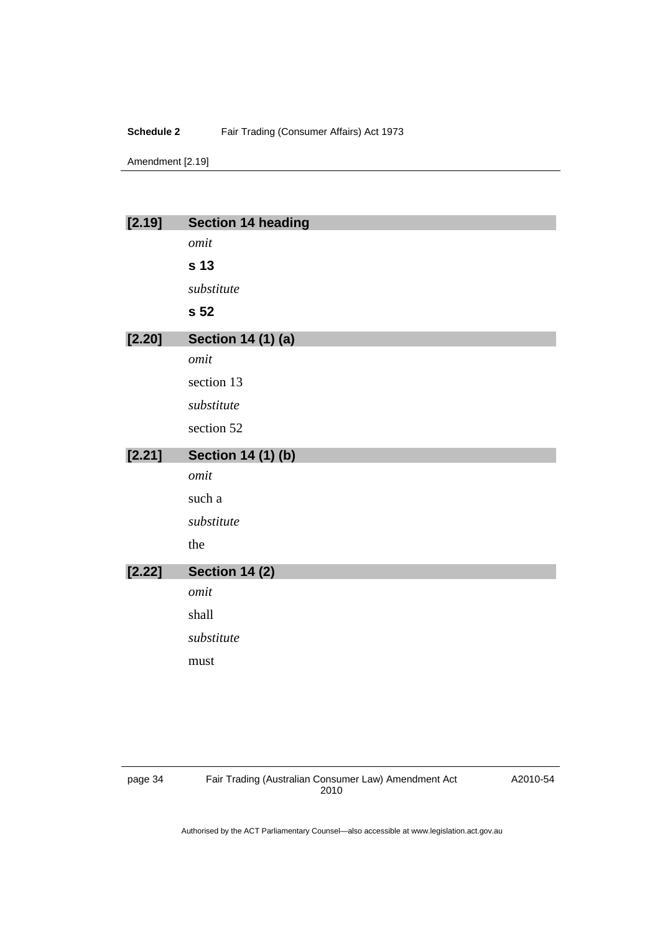#### **Schedule 2** Fair Trading (Consumer Affairs) Act 1973

Amendment [2.19]

| [2.19] | <b>Section 14 heading</b> |
|--------|---------------------------|
|        | omit                      |
|        | s 13                      |
|        | substitute                |
|        | s 52                      |
| [2.20] | <b>Section 14 (1) (a)</b> |
|        | omit                      |
|        | section 13                |
|        | substitute                |
|        | section 52                |
|        |                           |
| [2.21] | <b>Section 14 (1) (b)</b> |
|        | omit                      |
|        | such a                    |
|        | substitute                |
|        | the                       |
| [2.22] | <b>Section 14 (2)</b>     |
|        | omit                      |
|        | shall                     |
|        | substitute                |
|        | must                      |

A2010-54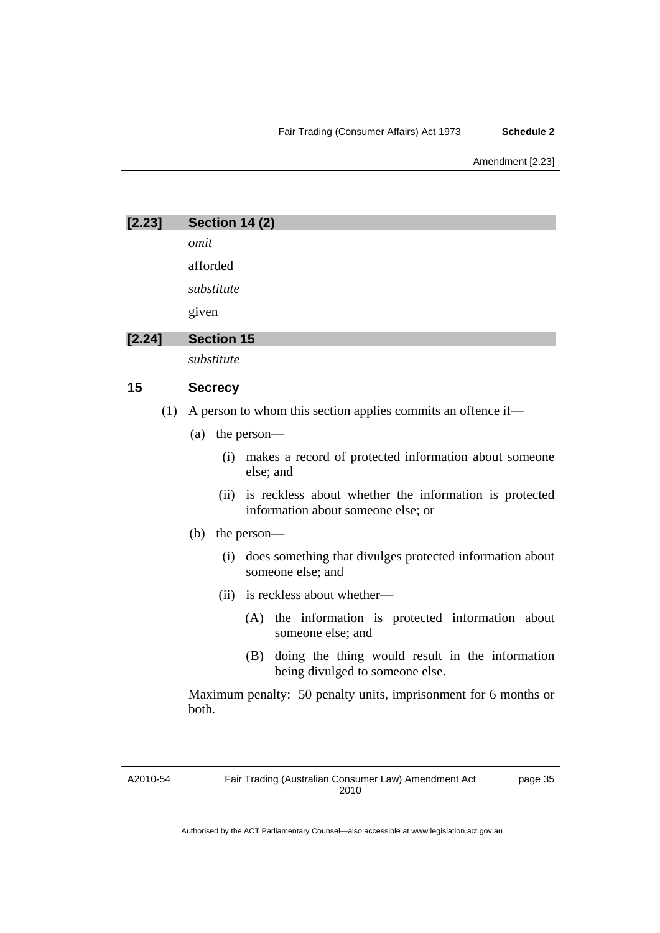#### Fair Trading (Consumer Affairs) Act 1973 **Schedule 2**

Amendment [2.23]

| [2.23] | <b>Section 14 (2)</b>                                                                                |
|--------|------------------------------------------------------------------------------------------------------|
|        | omit                                                                                                 |
|        | afforded                                                                                             |
|        | substitute                                                                                           |
|        | given                                                                                                |
| [2.24] | <b>Section 15</b>                                                                                    |
|        | substitute                                                                                           |
| 15     | <b>Secrecy</b>                                                                                       |
| (1)    | A person to whom this section applies commits an offence if—                                         |
|        | (a)<br>the person—                                                                                   |
|        | makes a record of protected information about someone<br>(i)<br>else; and                            |
|        | is reckless about whether the information is protected<br>(ii)<br>information about someone else; or |
|        | (b)<br>the person—                                                                                   |
|        | does something that divulges protected information about<br>(i)<br>someone else; and                 |
|        | is reckless about whether—<br>(ii)                                                                   |
|        | (A) the information is protected information about<br>someone else; and                              |
|        | doing the thing would result in the information<br>(B)<br>being divulged to someone else.            |
|        | Maximum penalty: 50 penalty units, imprisonment for 6 months or<br>both.                             |

A2010-54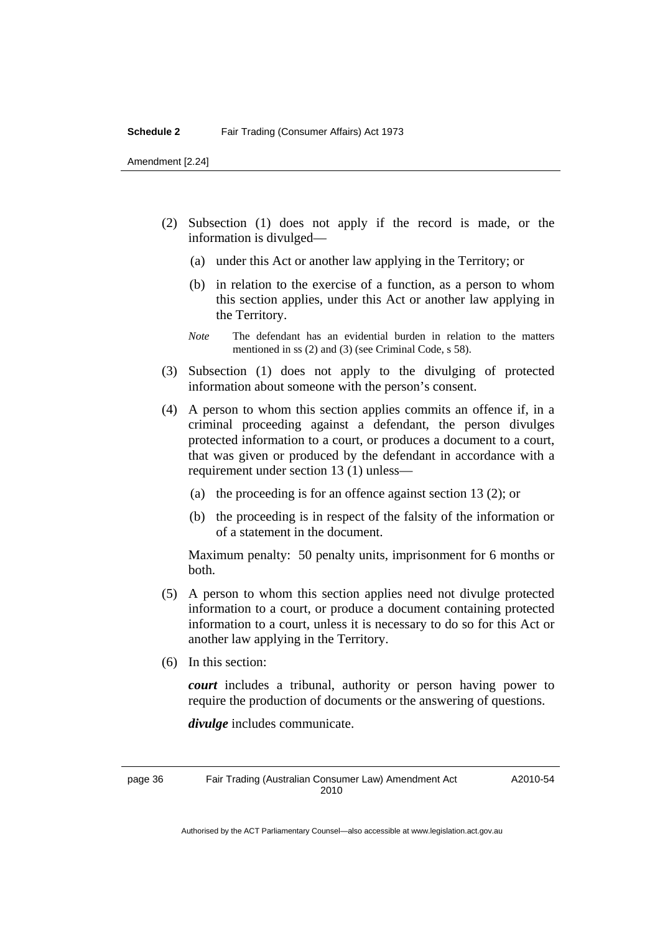Amendment [2.24]

- (2) Subsection (1) does not apply if the record is made, or the information is divulged—
	- (a) under this Act or another law applying in the Territory; or
	- (b) in relation to the exercise of a function, as a person to whom this section applies, under this Act or another law applying in the Territory.
	- *Note* The defendant has an evidential burden in relation to the matters mentioned in ss (2) and (3) (see Criminal Code, s 58).
- (3) Subsection (1) does not apply to the divulging of protected information about someone with the person's consent.
- (4) A person to whom this section applies commits an offence if, in a criminal proceeding against a defendant, the person divulges protected information to a court, or produces a document to a court, that was given or produced by the defendant in accordance with a requirement under section 13 (1) unless—
	- (a) the proceeding is for an offence against section 13 (2); or
	- (b) the proceeding is in respect of the falsity of the information or of a statement in the document.

Maximum penalty: 50 penalty units, imprisonment for 6 months or both.

- (5) A person to whom this section applies need not divulge protected information to a court, or produce a document containing protected information to a court, unless it is necessary to do so for this Act or another law applying in the Territory.
- (6) In this section:

*court* includes a tribunal, authority or person having power to require the production of documents or the answering of questions.

*divulge* includes communicate.

page 36 Fair Trading (Australian Consumer Law) Amendment Act 2010

A2010-54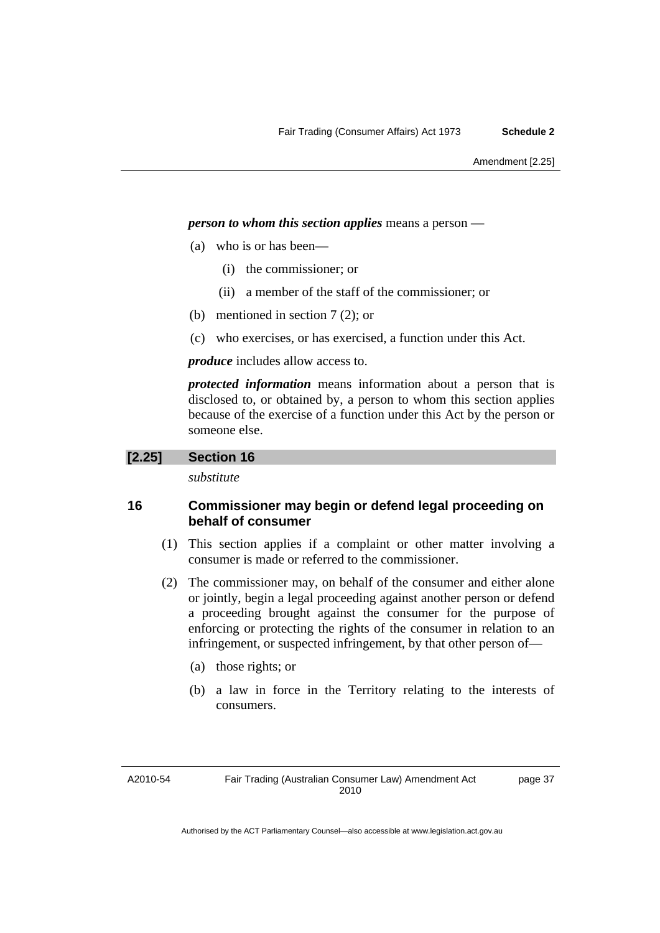#### *person to whom this section applies* means a person —

- (a) who is or has been—
	- (i) the commissioner; or
	- (ii) a member of the staff of the commissioner; or
- (b) mentioned in section 7 (2); or
- (c) who exercises, or has exercised, a function under this Act.

*produce* includes allow access to.

*protected information* means information about a person that is disclosed to, or obtained by, a person to whom this section applies because of the exercise of a function under this Act by the person or someone else.

#### **[2.25] Section 16**

*substitute* 

## **16 Commissioner may begin or defend legal proceeding on behalf of consumer**

- (1) This section applies if a complaint or other matter involving a consumer is made or referred to the commissioner.
- (2) The commissioner may, on behalf of the consumer and either alone or jointly, begin a legal proceeding against another person or defend a proceeding brought against the consumer for the purpose of enforcing or protecting the rights of the consumer in relation to an infringement, or suspected infringement, by that other person of—
	- (a) those rights; or
	- (b) a law in force in the Territory relating to the interests of consumers.

A2010-54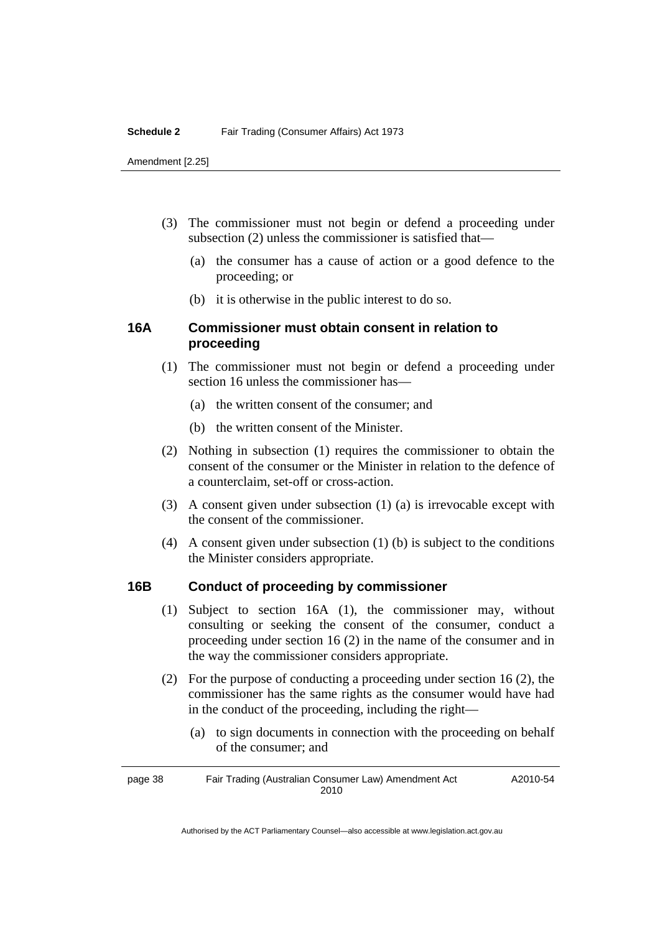#### **Schedule 2** Fair Trading (Consumer Affairs) Act 1973

Amendment [2.25]

- (3) The commissioner must not begin or defend a proceeding under subsection (2) unless the commissioner is satisfied that—
	- (a) the consumer has a cause of action or a good defence to the proceeding; or
	- (b) it is otherwise in the public interest to do so.

## **16A Commissioner must obtain consent in relation to proceeding**

- (1) The commissioner must not begin or defend a proceeding under section 16 unless the commissioner has—
	- (a) the written consent of the consumer; and
	- (b) the written consent of the Minister.
- (2) Nothing in subsection (1) requires the commissioner to obtain the consent of the consumer or the Minister in relation to the defence of a counterclaim, set-off or cross-action.
- (3) A consent given under subsection (1) (a) is irrevocable except with the consent of the commissioner.
- (4) A consent given under subsection (1) (b) is subject to the conditions the Minister considers appropriate.

## **16B Conduct of proceeding by commissioner**

- (1) Subject to section 16A (1), the commissioner may, without consulting or seeking the consent of the consumer, conduct a proceeding under section 16 (2) in the name of the consumer and in the way the commissioner considers appropriate.
- (2) For the purpose of conducting a proceeding under section 16 (2), the commissioner has the same rights as the consumer would have had in the conduct of the proceeding, including the right—
	- (a) to sign documents in connection with the proceeding on behalf of the consumer; and

page 38 Fair Trading (Australian Consumer Law) Amendment Act 2010 A2010-54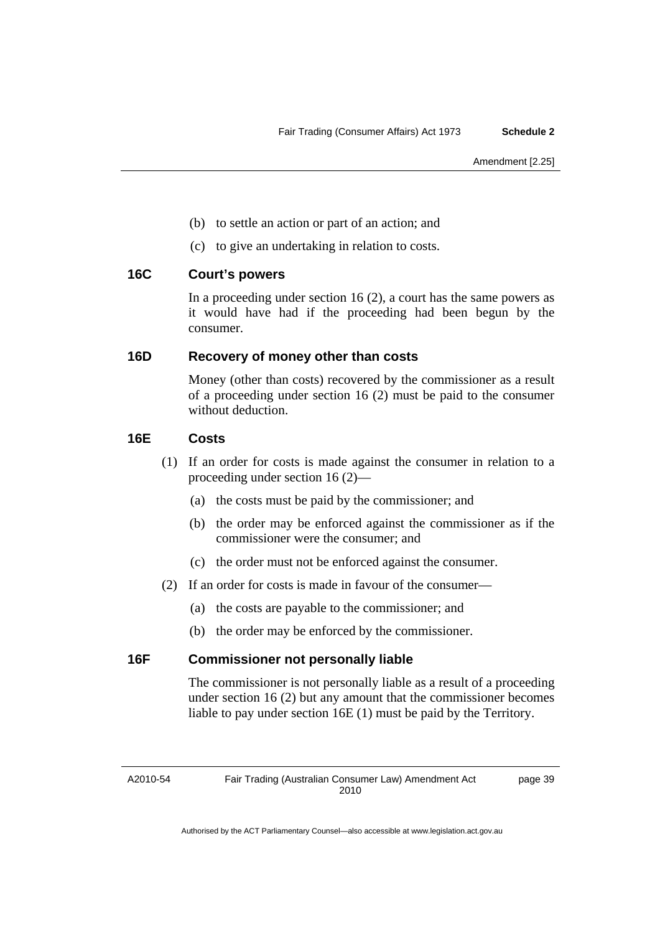- (b) to settle an action or part of an action; and
- (c) to give an undertaking in relation to costs.

## **16C Court's powers**

In a proceeding under section 16 (2), a court has the same powers as it would have had if the proceeding had been begun by the consumer.

## **16D Recovery of money other than costs**

Money (other than costs) recovered by the commissioner as a result of a proceeding under section 16 (2) must be paid to the consumer without deduction.

## **16E Costs**

- (1) If an order for costs is made against the consumer in relation to a proceeding under section 16 (2)—
	- (a) the costs must be paid by the commissioner; and
	- (b) the order may be enforced against the commissioner as if the commissioner were the consumer; and
	- (c) the order must not be enforced against the consumer.
- (2) If an order for costs is made in favour of the consumer—
	- (a) the costs are payable to the commissioner; and
	- (b) the order may be enforced by the commissioner.

## **16F Commissioner not personally liable**

The commissioner is not personally liable as a result of a proceeding under section 16 (2) but any amount that the commissioner becomes liable to pay under section 16E (1) must be paid by the Territory.

A2010-54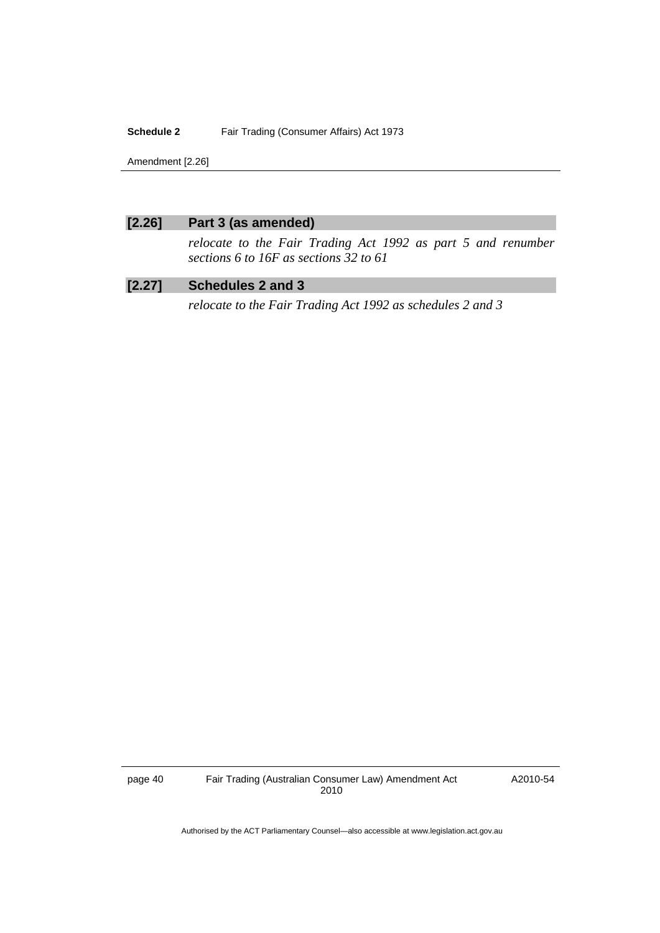#### **Schedule 2** Fair Trading (Consumer Affairs) Act 1973

Amendment [2.26]

## **[2.26] Part 3 (as amended)**

*relocate to the Fair Trading Act 1992 as part 5 and renumber sections 6 to 16F as sections 32 to 61* 

# **[2.27] Schedules 2 and 3**

*relocate to the Fair Trading Act 1992 as schedules 2 and 3* 

page 40 Fair Trading (Australian Consumer Law) Amendment Act 2010

A2010-54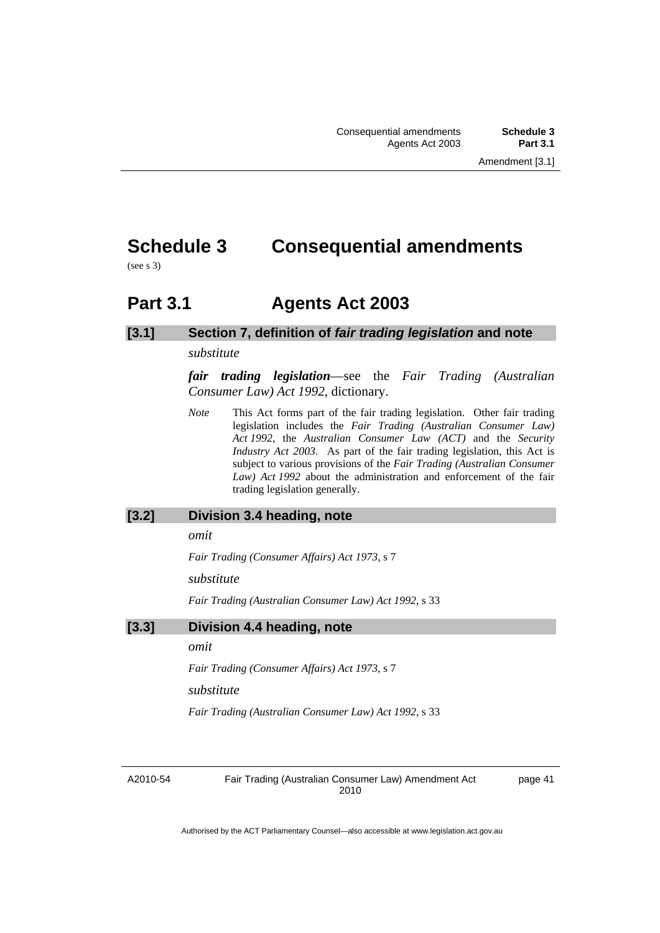# <span id="page-44-0"></span>**Schedule 3 Consequential amendments**

(see s 3)

# **Part 3.1 Agents Act 2003**

# **[3.1] Section 7, definition of** *fair trading legislation* **and note**

#### *substitute*

*fair trading legislation*—see the *Fair Trading (Australian Consumer Law) Act 1992*, dictionary.

*Note* This Act forms part of the fair trading legislation. Other fair trading legislation includes the *Fair Trading (Australian Consumer Law) Act 1992*, the *Australian Consumer Law (ACT)* and the *Security Industry Act 2003*. As part of the fair trading legislation, this Act is subject to various provisions of the *Fair Trading (Australian Consumer Law) Act 1992* about the administration and enforcement of the fair trading legislation generally.

#### **[3.2] Division 3.4 heading, note**

*omit* 

*Fair Trading (Consumer Affairs) Act 1973,* s 7

*substitute* 

*Fair Trading (Australian Consumer Law) Act 1992*, s 33

#### **[3.3] Division 4.4 heading, note**

*omit* 

*Fair Trading (Consumer Affairs) Act 1973*, s 7

*substitute* 

*Fair Trading (Australian Consumer Law) Act 1992*, s 33

A2010-54

Fair Trading (Australian Consumer Law) Amendment Act 2010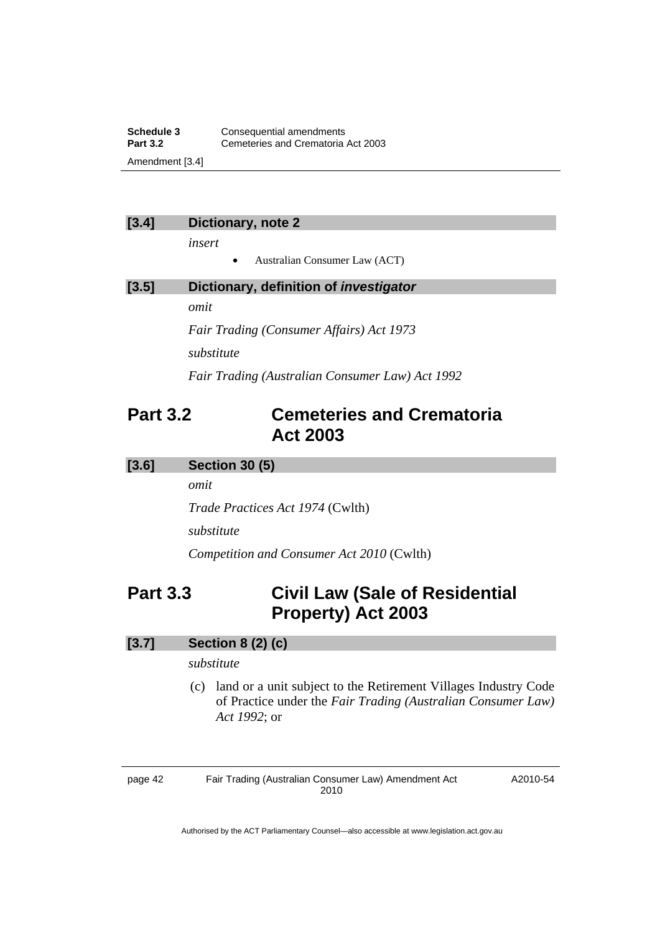<span id="page-45-0"></span>**Schedule 3 Consequential amendments**<br>**Part 3.2 Cemeteries and Crematoria Part 3.2** Cemeteries and Crematoria Act 2003 Amendment [3.4]

#### **[3.4] Dictionary, note 2**

*insert* 

• Australian Consumer Law (ACT)

| [3.5] | Dictionary, definition of <i>investigator</i> |  |
|-------|-----------------------------------------------|--|
|       | omit                                          |  |
|       | Fair Trading (Consumer Affairs) Act 1973      |  |
|       | substitute                                    |  |

*Fair Trading (Australian Consumer Law) Act 1992*

# **Part 3.2 Cemeteries and Crematoria Act 2003**

#### **[3.6] Section 30 (5)**

*omit* 

*Trade Practices Act 1974* (Cwlth)

*substitute* 

*Competition and Consumer Act 2010* (Cwlth)

# **Part 3.3 Civil Law (Sale of Residential Property) Act 2003**

## **[3.7] Section 8 (2) (c)**

#### *substitute*

 (c) land or a unit subject to the Retirement Villages Industry Code of Practice under the *Fair Trading (Australian Consumer Law) Act 1992*; or

page 42 Fair Trading (Australian Consumer Law) Amendment Act 2010

A2010-54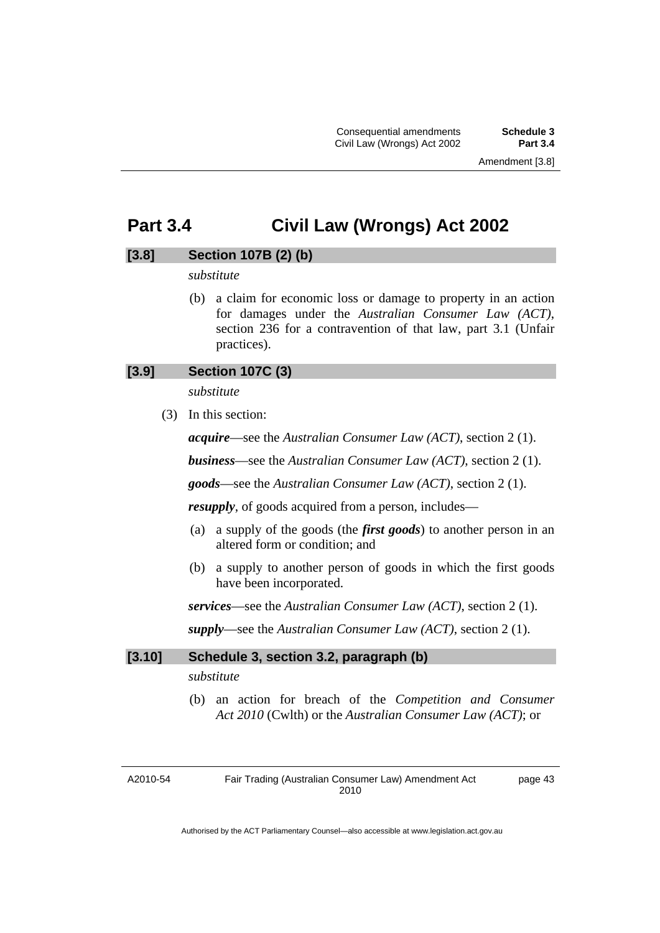Consequential amendments **Schedule 3**  Civil Law (Wrongs) Act 2002

# <span id="page-46-0"></span>**Part 3.4 Civil Law (Wrongs) Act 2002**

## **[3.8] Section 107B (2) (b)**

## *substitute*

 (b) a claim for economic loss or damage to property in an action for damages under the *Australian Consumer Law (ACT)*, section 236 for a contravention of that law, part 3.1 (Unfair practices).

## **[3.9] Section 107C (3)**

*substitute* 

(3) In this section:

*acquire*—see the *Australian Consumer Law (ACT)*, section 2 (1).

*business*—see the *Australian Consumer Law (ACT)*, section 2 (1).

*goods*—see the *Australian Consumer Law (ACT)*, section 2 (1).

*resupply*, of goods acquired from a person, includes—

- (a) a supply of the goods (the *first goods*) to another person in an altered form or condition; and
- (b) a supply to another person of goods in which the first goods have been incorporated.

*services*—see the *Australian Consumer Law (ACT)*, section 2 (1).

*supply*—see the *Australian Consumer Law (ACT)*, section 2 (1).

#### **[3.10] Schedule 3, section 3.2, paragraph (b)**

*substitute* 

 (b) an action for breach of the *Competition and Consumer Act 2010* (Cwlth) or the *Australian Consumer Law (ACT)*; or

A2010-54

Fair Trading (Australian Consumer Law) Amendment Act 2010 page 43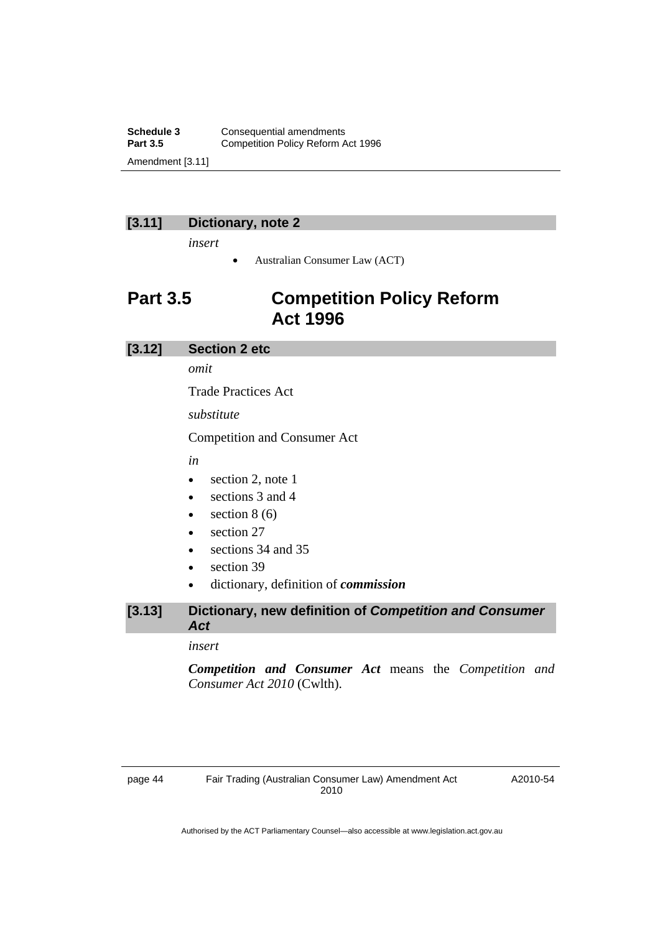<span id="page-47-0"></span>**Schedule 3 Consequential amendments**<br>**Part 3.5 Competition Policy Reform A Competition Policy Reform Act 1996** Amendment [3.11]

# **[3.11] Dictionary, note 2**

*insert* 

• Australian Consumer Law (ACT)

# **Part 3.5 Competition Policy Reform Act 1996**

#### **[3.12] Section 2 etc**

*omit* 

Trade Practices Act

*substitute* 

Competition and Consumer Act

*in* 

- section 2, note 1
- sections 3 and 4
- $\bullet$  section 8 (6)
- section 27
- sections 34 and 35
- section 39
- dictionary, definition of *commission*

## **[3.13] Dictionary, new definition of** *Competition and Consumer Act*

#### *insert*

*Competition and Consumer Act* means the *Competition and Consumer Act 2010* (Cwlth).

A2010-54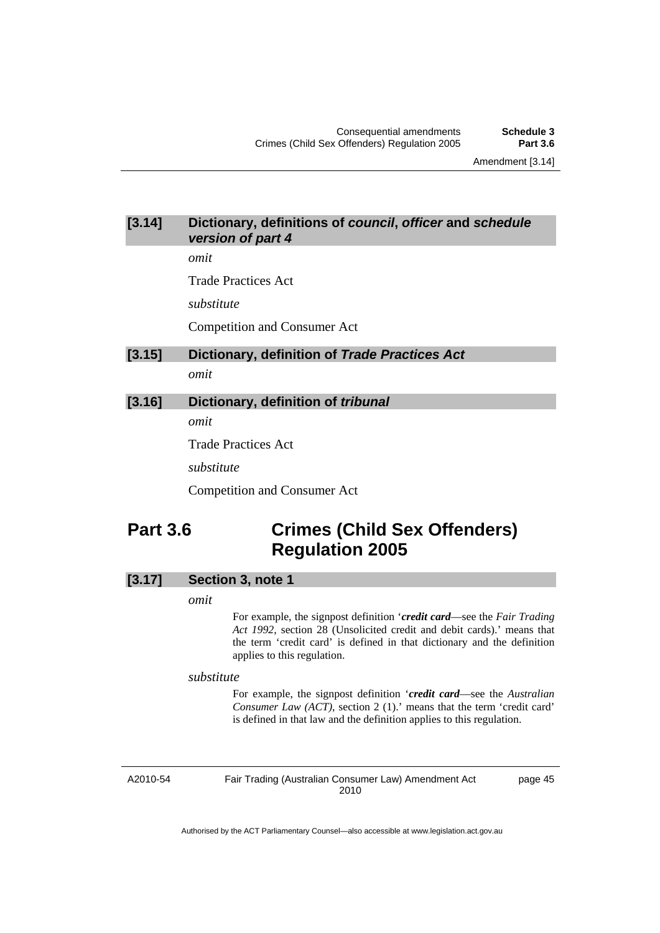Amendment [3.14]

## <span id="page-48-0"></span>**[3.14] Dictionary, definitions of** *council***,** *officer* **and** *schedule version of part 4*

*omit* 

Trade Practices Act

*substitute* 

Competition and Consumer Act

#### **[3.15] Dictionary, definition of** *Trade Practices Act*

*omit* 

## **[3.16] Dictionary, definition of** *tribunal*

*omit* 

Trade Practices Act

*substitute* 

Competition and Consumer Act

# **Part 3.6 Crimes (Child Sex Offenders) Regulation 2005**

## **[3.17] Section 3, note 1**

#### *omit*

For example, the signpost definition '*credit card*—see the *Fair Trading Act 1992*, section 28 (Unsolicited credit and debit cards).' means that the term 'credit card' is defined in that dictionary and the definition applies to this regulation.

*substitute* 

For example, the signpost definition '*credit card*—see the *Australian Consumer Law (ACT)*, section 2 (1).' means that the term 'credit card' is defined in that law and the definition applies to this regulation.

A2010-54

Fair Trading (Australian Consumer Law) Amendment Act 2010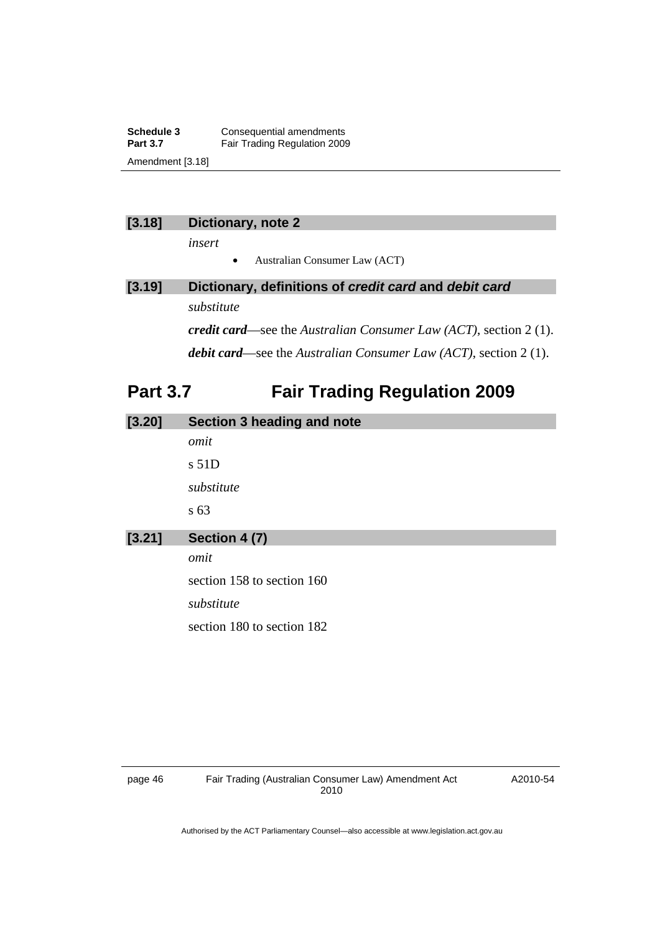<span id="page-49-0"></span>**Schedule 3 Consequential amendments**<br>**Part 3.7 Eair Trading Regulation 2009 Fair Trading Regulation 2009** Amendment [3.18]

## **[3.18] Dictionary, note 2**

*insert* 

• Australian Consumer Law (ACT)

# **[3.19] Dictionary, definitions of** *credit card* **and** *debit card substitute*

*credit card*—see the *Australian Consumer Law (ACT)*, section 2 (1). *debit card*—see the *Australian Consumer Law (ACT)*, section 2 (1).

# **Part 3.7 Fair Trading Regulation 2009**

| [3.20] | Section 3 heading and note |
|--------|----------------------------|
|        | omit                       |
|        | $s$ 51D                    |
|        | substitute                 |
|        | s <sub>63</sub>            |
| [3.21] | Section 4 (7)              |
|        | omit                       |
|        | section 158 to section 160 |
|        | substitute                 |
|        | section 180 to section 182 |
|        |                            |

A2010-54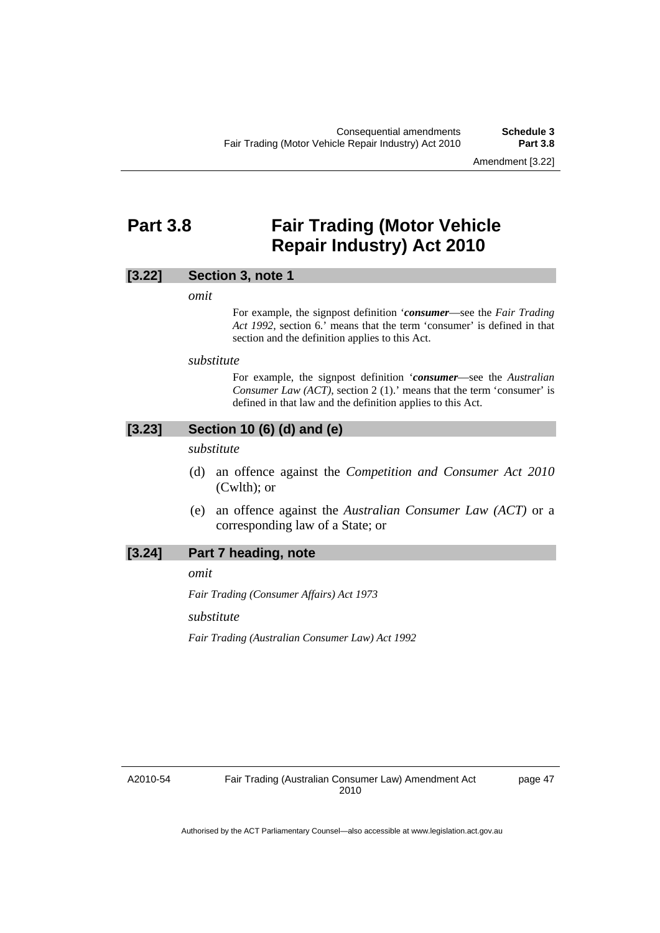Amendment [3.22]

# <span id="page-50-0"></span>**Part 3.8 Fair Trading (Motor Vehicle Repair Industry) Act 2010**

#### **[3.22] Section 3, note 1**

*omit* 

For example, the signpost definition '*consumer*—see the *Fair Trading Act 1992*, section 6.' means that the term 'consumer' is defined in that section and the definition applies to this Act.

#### *substitute*

For example, the signpost definition '*consumer*—see the *Australian Consumer Law (ACT)*, section 2 (1).' means that the term 'consumer' is defined in that law and the definition applies to this Act.

## **[3.23] Section 10 (6) (d) and (e)**

*substitute* 

- (d) an offence against the *Competition and Consumer Act 2010*  (Cwlth); or
- (e) an offence against the *Australian Consumer Law (ACT)* or a corresponding law of a State; or

#### **[3.24] Part 7 heading, note**

*omit* 

*Fair Trading (Consumer Affairs) Act 1973* 

*substitute* 

*Fair Trading (Australian Consumer Law) Act 1992* 

A2010-54

page 47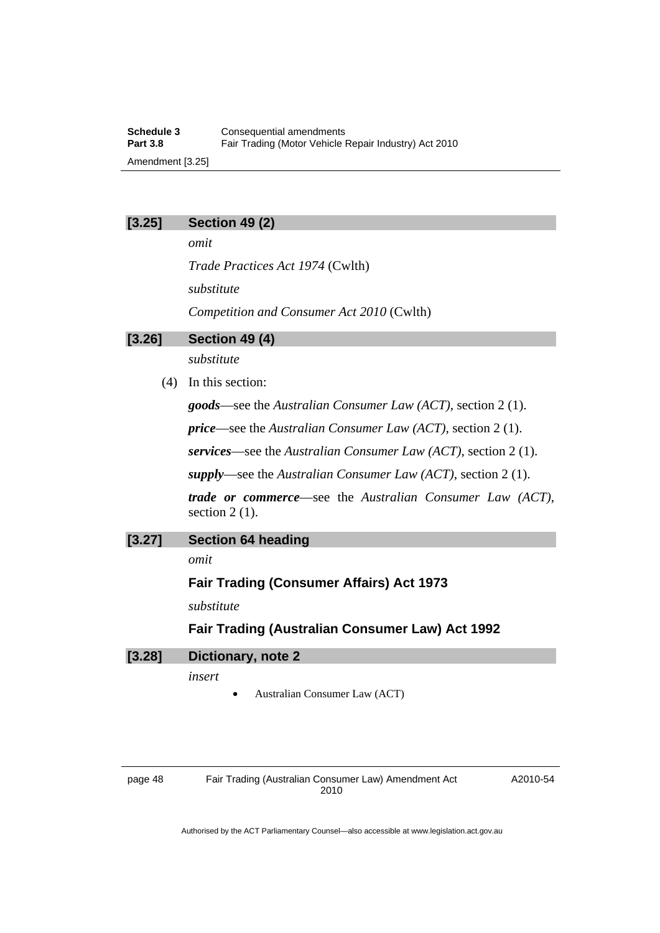**Schedule 3 Consequential amendments**<br>**Part 3.8 Eair Trading (Motor Vehicle I)** Fair Trading (Motor Vehicle Repair Industry) Act 2010 Amendment [3.25]

#### **[3.25] Section 49 (2)**

*omit* 

*Trade Practices Act 1974* (Cwlth) *substitute Competition and Consumer Act 2010* (Cwlth)

#### **[3.26] Section 49 (4)**

*substitute* 

(4) In this section:

*goods*—see the *Australian Consumer Law (ACT)*, section 2 (1).

*price*—see the *Australian Consumer Law (ACT)*, section 2 (1).

*services*—see the *Australian Consumer Law (ACT)*, section 2 (1).

*supply*—see the *Australian Consumer Law (ACT)*, section 2 (1).

*trade or commerce*—see the *Australian Consumer Law (ACT)*, section 2 (1).

#### **[3.27] Section 64 heading**

*omit* 

## **Fair Trading (Consumer Affairs) Act 1973**

*substitute* 

## **Fair Trading (Australian Consumer Law) Act 1992**

| $[3.28]$ | Dictionary, note 2 |
|----------|--------------------|
|----------|--------------------|

*insert* 

• Australian Consumer Law (ACT)

| нσ<br>ıc<br>∼. |  |
|----------------|--|
|----------------|--|

Fair Trading (Australian Consumer Law) Amendment Act 2010

A2010-54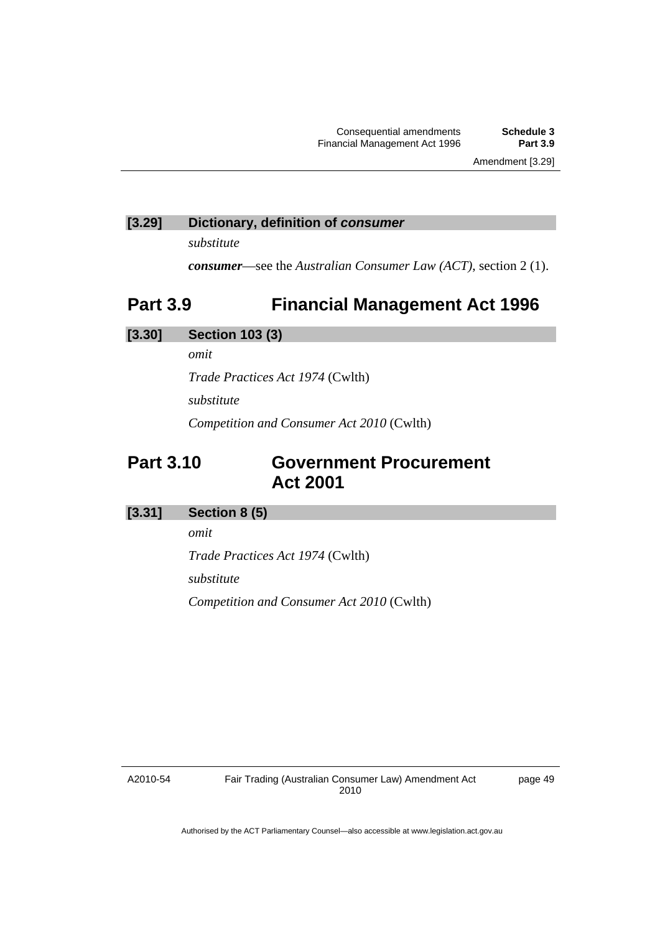Amendment [3.29]

## <span id="page-52-0"></span>**[3.29] Dictionary, definition of** *consumer*

*substitute* 

*consumer*—see the *Australian Consumer Law (ACT)*, section 2 (1).

# **Part 3.9 Financial Management Act 1996**

## **[3.30] Section 103 (3)**

*omit* 

*Trade Practices Act 1974* (Cwlth)

*substitute* 

*Competition and Consumer Act 2010* (Cwlth)

# **Part 3.10 Government Procurement Act 2001**

## **[3.31] Section 8 (5)**

*omit* 

*Trade Practices Act 1974* (Cwlth)

*substitute* 

*Competition and Consumer Act 2010* (Cwlth)

A2010-54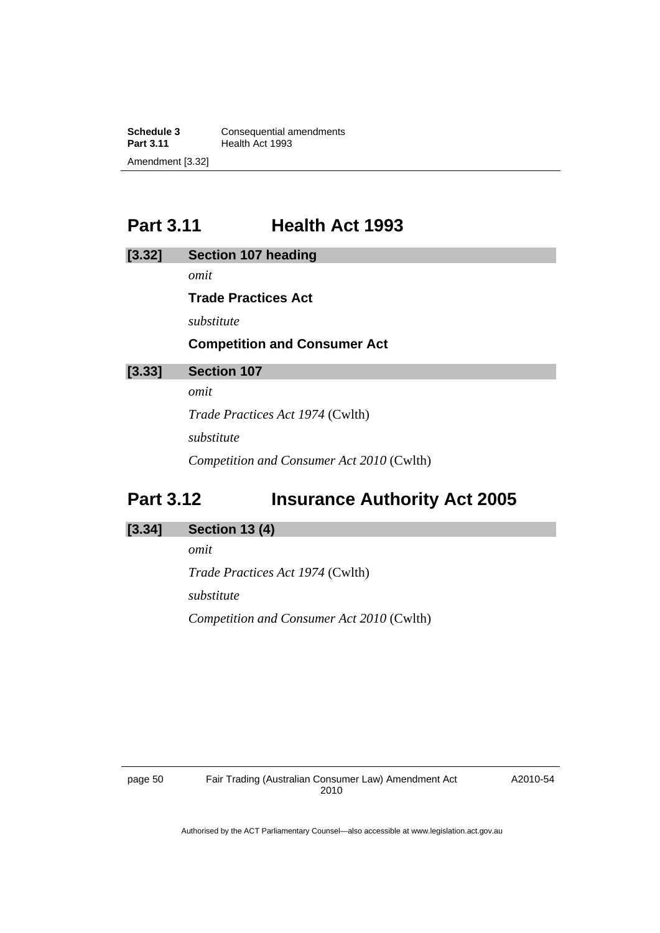<span id="page-53-0"></span>**Schedule 3 Consequential amendments**<br>**Part 3.11 Health Act 1993 Health Act 1993** Amendment [3.32]

# **Part 3.11 Health Act 1993**

| [3.32] | <b>Section 107 heading</b>          |
|--------|-------------------------------------|
|        | omit                                |
|        | <b>Trade Practices Act</b>          |
|        | substitute                          |
|        | <b>Competition and Consumer Act</b> |
| [3.33] | <b>Section 107</b>                  |
|        | omit                                |

*Trade Practices Act 1974* (Cwlth) *substitute Competition and Consumer Act 2010* (Cwlth)

# **Part 3.12 Insurance Authority Act 2005**

### **[3.34] Section 13 (4)**

*omit Trade Practices Act 1974* (Cwlth) *substitute Competition and Consumer Act 2010* (Cwlth)

page 50 Fair Trading (Australian Consumer Law) Amendment Act 2010

A2010-54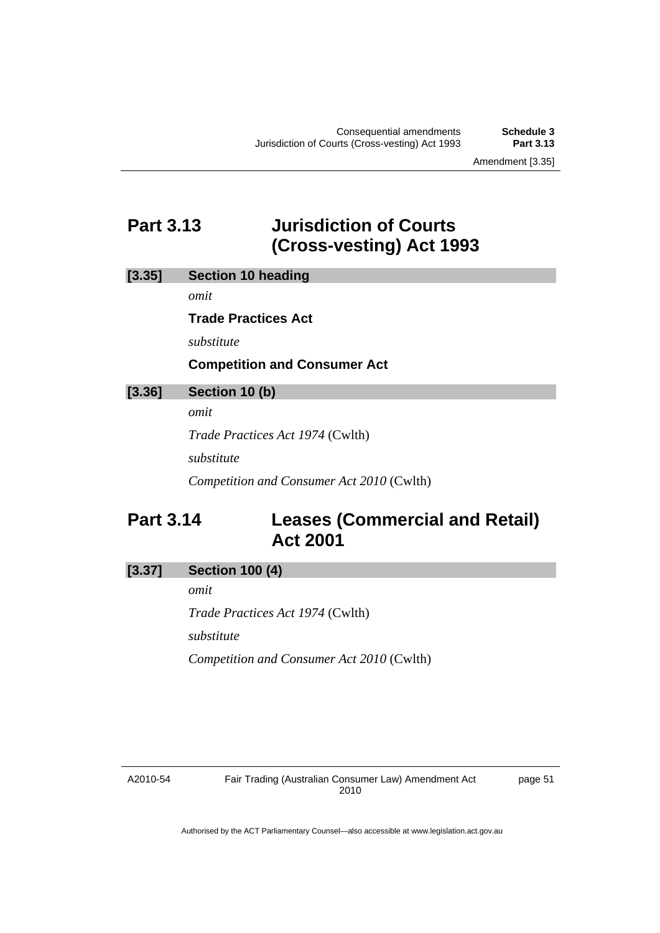Amendment [3.35]

# <span id="page-54-0"></span>**Part 3.13 Jurisdiction of Courts (Cross-vesting) Act 1993**

## **[3.35] Section 10 heading**

*omit* 

#### **Trade Practices Act**

*substitute* 

## **Competition and Consumer Act**

#### **[3.36] Section 10 (b)**

*omit* 

*Trade Practices Act 1974* (Cwlth)

*substitute* 

*Competition and Consumer Act 2010* (Cwlth)

# **Part 3.14 Leases (Commercial and Retail) Act 2001**

## **[3.37] Section 100 (4)**

*omit* 

*Trade Practices Act 1974* (Cwlth)

*substitute* 

*Competition and Consumer Act 2010* (Cwlth)

A2010-54

page 51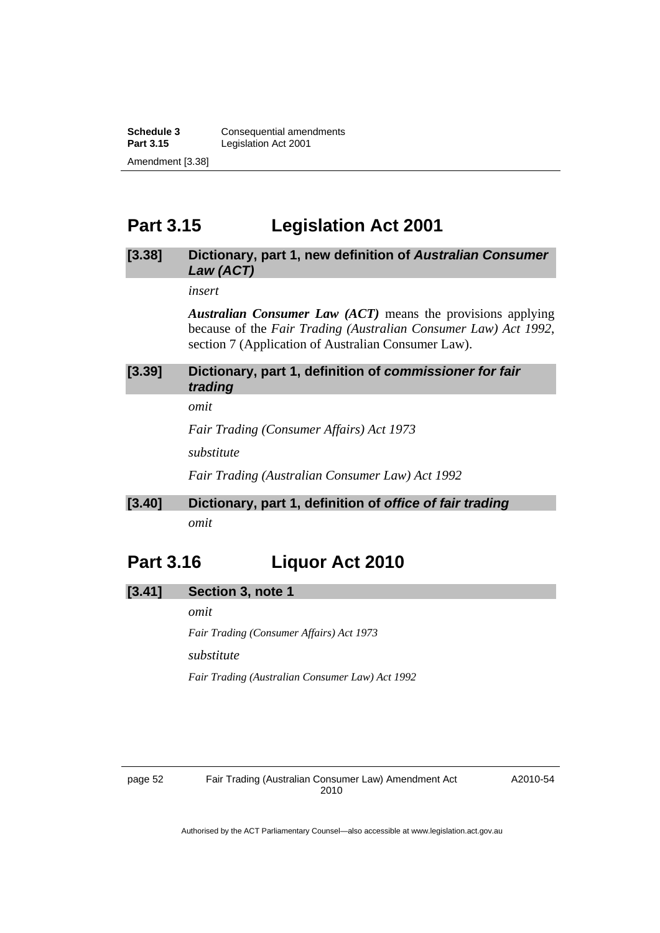<span id="page-55-0"></span>**Schedule 3 Consequential amendments**<br>**Part 3.15 Legislation Act 2001 Legislation Act 2001** Amendment [3.38]

# **Part 3.15 Legislation Act 2001**

#### **[3.38] Dictionary, part 1, new definition of** *Australian Consumer Law (ACT)*

*insert* 

*Australian Consumer Law (ACT)* means the provisions applying because of the *Fair Trading (Australian Consumer Law) Act 1992*, section 7 (Application of Australian Consumer Law).

## **[3.39] Dictionary, part 1, definition of** *commissioner for fair trading*

*omit* 

*Fair Trading (Consumer Affairs) Act 1973*

*substitute* 

*Fair Trading (Australian Consumer Law) Act 1992*

# **[3.40] Dictionary, part 1, definition of** *office of fair trading omit*

# **Part 3.16 Liquor Act 2010**

#### **[3.41] Section 3, note 1**

*omit* 

*Fair Trading (Consumer Affairs) Act 1973*

*substitute* 

*Fair Trading (Australian Consumer Law) Act 1992*

A2010-54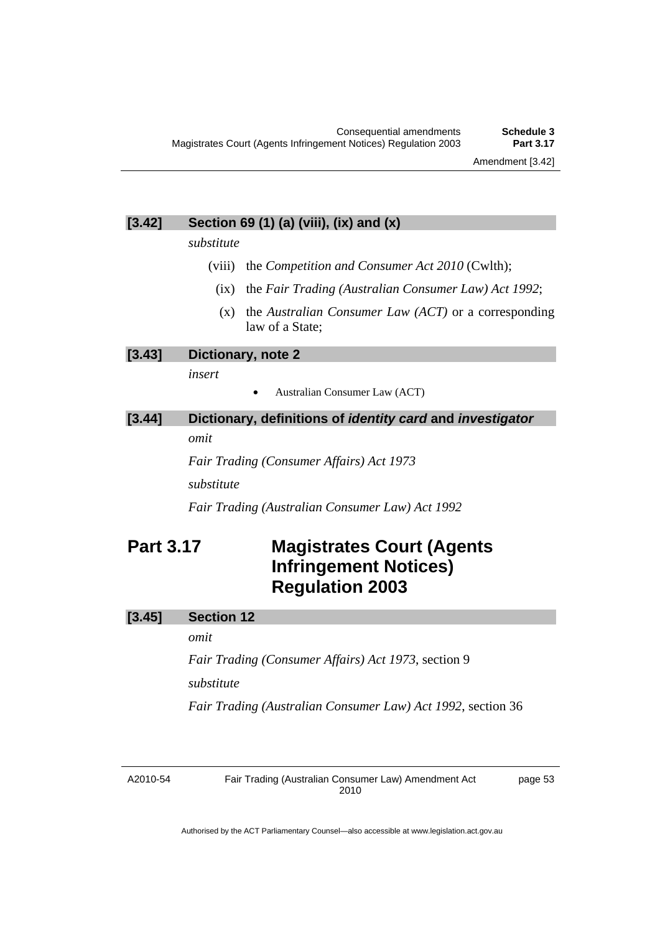## <span id="page-56-0"></span>**[3.42] Section 69 (1) (a) (viii), (ix) and (x)**

*substitute* 

- (viii) the *Competition and Consumer Act 2010* (Cwlth);
	- (ix) the *Fair Trading (Australian Consumer Law) Act 1992*;
	- (x) the *Australian Consumer Law (ACT)* or a corresponding law of a State;

**[3.43] Dictionary, note 2** 

*insert* 

• Australian Consumer Law (ACT)

| [3.44] |      | Dictionary, definitions of <i>identity card</i> and <i>investigator</i> |
|--------|------|-------------------------------------------------------------------------|
|        | omit |                                                                         |
|        |      | $\cdots$ $\cdots$                                                       |

*Fair Trading (Consumer Affairs) Act 1973 substitute* 

*Fair Trading (Australian Consumer Law) Act 1992* 

# **Part 3.17 Magistrates Court (Agents Infringement Notices) Regulation 2003**

## **[3.45] Section 12**

*omit* 

*Fair Trading (Consumer Affairs) Act 1973*, section 9 *substitute* 

*Fair Trading (Australian Consumer Law) Act 1992*, section 36

A2010-54

Fair Trading (Australian Consumer Law) Amendment Act 2010

page 53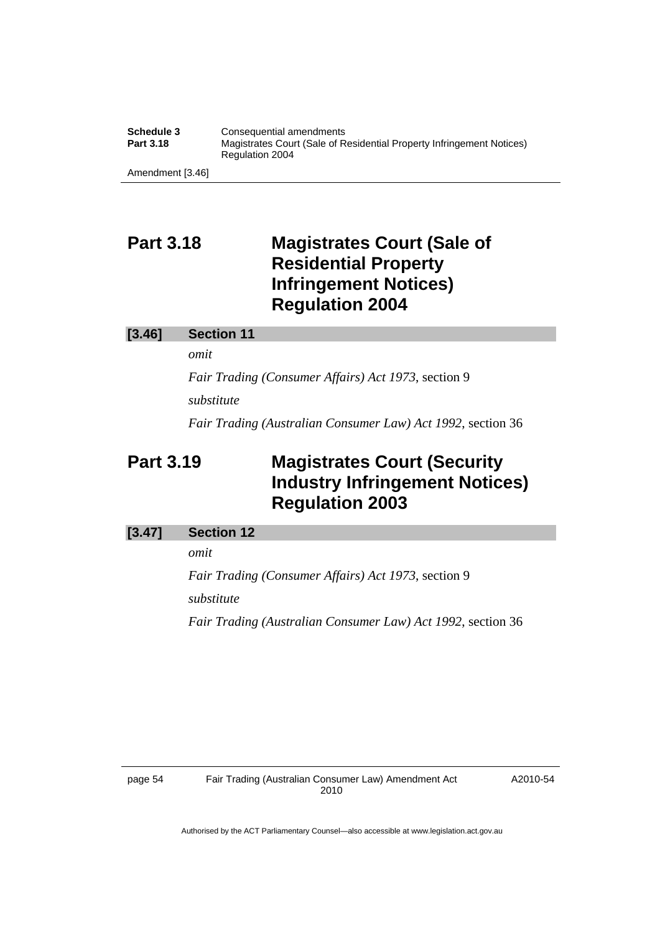<span id="page-57-0"></span>

| Schedule 3       | Consequential amendments                                                                 |
|------------------|------------------------------------------------------------------------------------------|
| <b>Part 3.18</b> | Magistrates Court (Sale of Residential Property Infringement Notices)<br>Regulation 2004 |
| Amendment [3.46] |                                                                                          |

# **Part 3.18 Magistrates Court (Sale of Residential Property Infringement Notices) Regulation 2004**

#### **[3.46] Section 11**

*omit* 

*Fair Trading (Consumer Affairs) Act 1973*, section 9 *substitute* 

*Fair Trading (Australian Consumer Law) Act 1992*, section 36

# **Part 3.19 Magistrates Court (Security Industry Infringement Notices) Regulation 2003**

#### **[3.47] Section 12**

*omit* 

*Fair Trading (Consumer Affairs) Act 1973*, section 9 *substitute Fair Trading (Australian Consumer Law) Act 1992*, section 36

A2010-54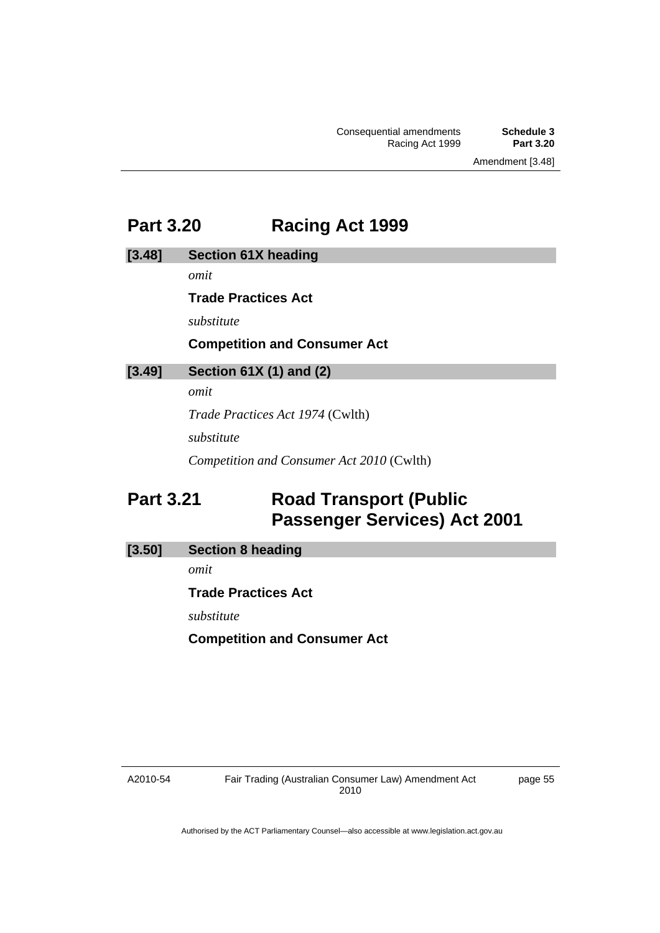Amendment [3.48]

# <span id="page-58-0"></span>**Part 3.20 Racing Act 1999**

**[3.48] Section 61X heading** 

*omit* 

**Trade Practices Act** 

*substitute* 

# **Competition and Consumer Act**

# **[3.49] Section 61X (1) and (2)**

*omit* 

*Trade Practices Act 1974* (Cwlth)

*substitute* 

*Competition and Consumer Act 2010* (Cwlth)

# **Part 3.21 Road Transport (Public Passenger Services) Act 2001**

## **[3.50] Section 8 heading**

*omit* 

**Trade Practices Act** 

*substitute* 

**Competition and Consumer Act** 

A2010-54

page 55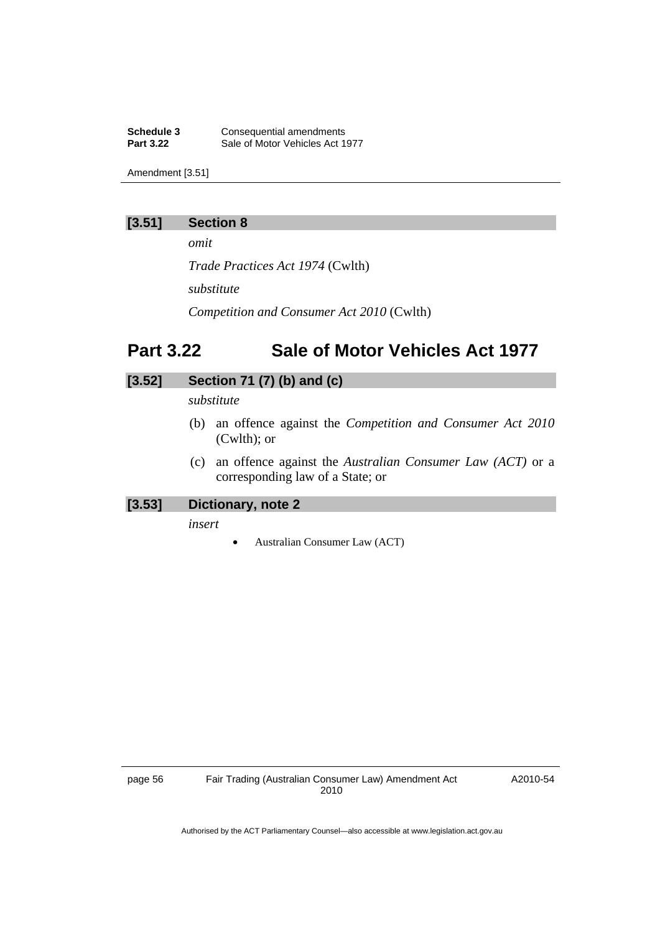<span id="page-59-0"></span>**Schedule 3 Consequential amendments**<br>**Part 3.22 Sale of Motor Vehicles Act 1** Sale of Motor Vehicles Act 1977

Amendment [3.51]

## **[3.51] Section 8**

*omit* 

*Trade Practices Act 1974* (Cwlth)

*substitute* 

*Competition and Consumer Act 2010* (Cwlth)

# **Part 3.22 Sale of Motor Vehicles Act 1977**

# **[3.52] Section 71 (7) (b) and (c)**

*substitute* 

- (b) an offence against the *Competition and Consumer Act 2010* (Cwlth); or
- (c) an offence against the *Australian Consumer Law (ACT)* or a corresponding law of a State; or

## **[3.53] Dictionary, note 2**

*insert* 

• Australian Consumer Law (ACT)

A2010-54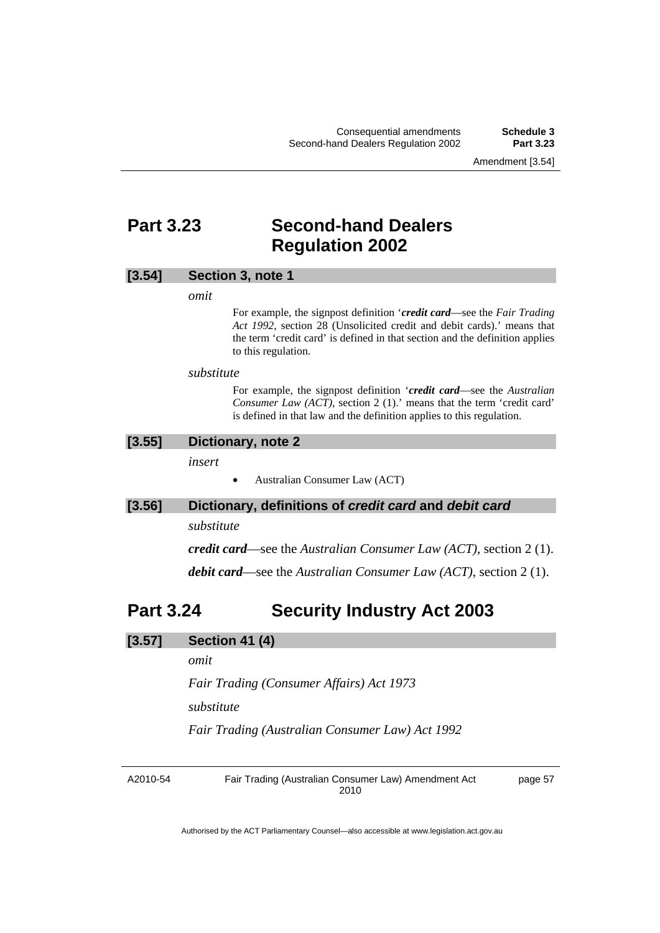Amendment [3.54]

# <span id="page-60-0"></span>**Part 3.23 Second-hand Dealers Regulation 2002**

#### **[3.54] Section 3, note 1**

*omit* 

For example, the signpost definition '*credit card*—see the *Fair Trading Act 1992*, section 28 (Unsolicited credit and debit cards).' means that the term 'credit card' is defined in that section and the definition applies to this regulation.

#### *substitute*

For example, the signpost definition '*credit card*—see the *Australian Consumer Law (ACT)*, section 2 (1).' means that the term 'credit card' is defined in that law and the definition applies to this regulation.

#### **[3.55] Dictionary, note 2**

*insert* 

• Australian Consumer Law (ACT)

#### **[3.56] Dictionary, definitions of** *credit card* **and** *debit card*

*substitute* 

*credit card*—see the *Australian Consumer Law (ACT)*, section 2 (1).

*debit card*—see the *Australian Consumer Law (ACT)*, section 2 (1).

# **Part 3.24 Security Industry Act 2003**

#### **[3.57] Section 41 (4)**

*omit* 

*Fair Trading (Consumer Affairs) Act 1973*

*substitute* 

*Fair Trading (Australian Consumer Law) Act 1992* 

A2010-54

Fair Trading (Australian Consumer Law) Amendment Act 2010

page 57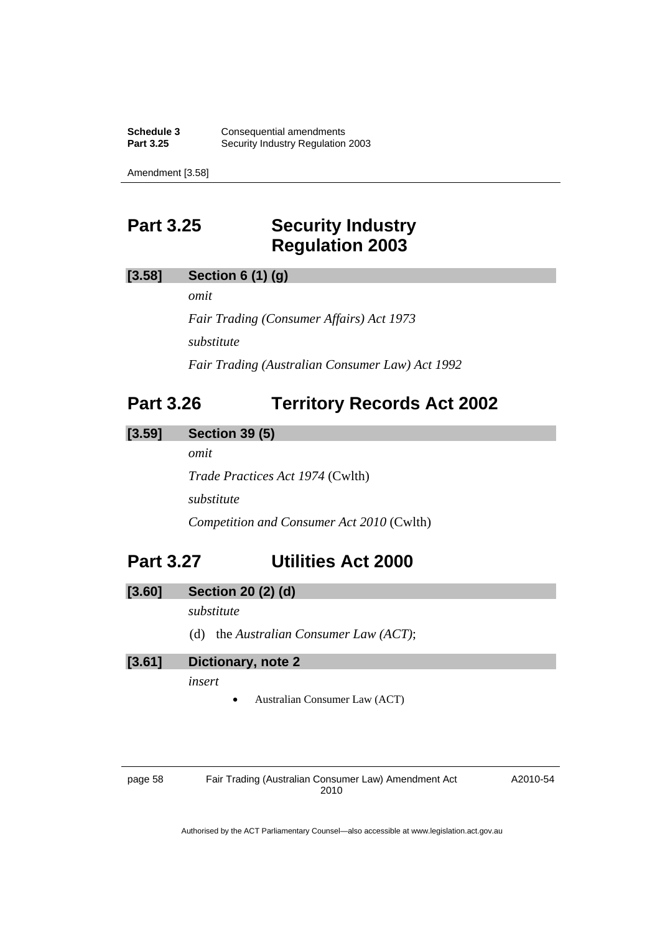<span id="page-61-0"></span>**Schedule 3 Consequential amendments**<br>**Part 3.25 Security Industry Regulation Security Industry Regulation 2003** 

Amendment [3.58]

# **Part 3.25 Security Industry Regulation 2003**

## **[3.58] Section 6 (1) (g)**

*omit* 

*Fair Trading (Consumer Affairs) Act 1973 substitute Fair Trading (Australian Consumer Law) Act 1992* 

# **Part 3.26 Territory Records Act 2002**

## **[3.59] Section 39 (5)**

*omit* 

*Trade Practices Act 1974* (Cwlth) *substitute Competition and Consumer Act 2010* (Cwlth)

# **Part 3.27 Utilities Act 2000**

## **[3.60] Section 20 (2) (d)**

*substitute* 

(d) the *Australian Consumer Law (ACT)*;

**[3.61] Dictionary, note 2** 

*insert* 

• Australian Consumer Law (ACT)

page 58 Fair Trading (Australian Consumer Law) Amendment Act 2010

A2010-54